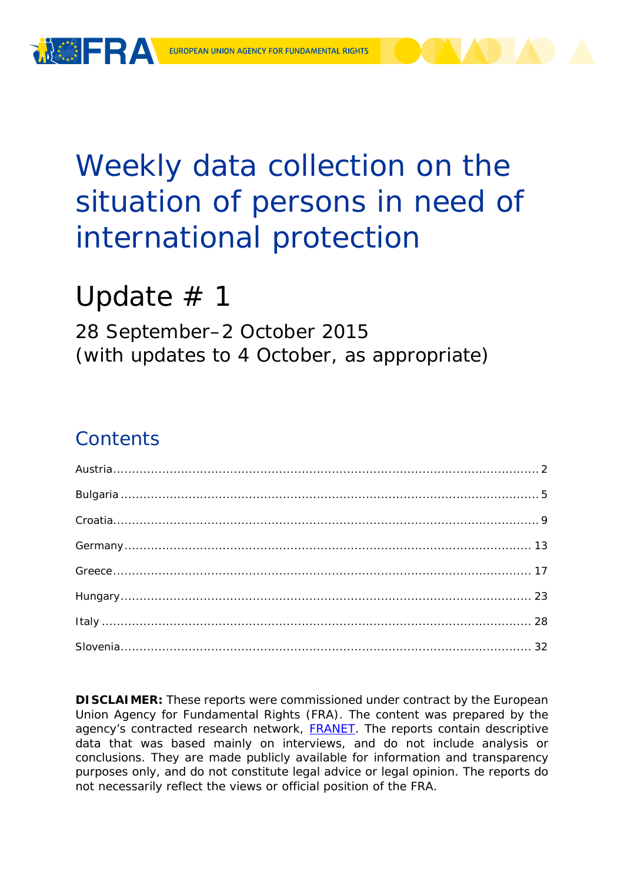

# Weekly data collection on the situation of persons in need of international protection

# Update  $# 1$

28 September–2 October 2015 (with updates to 4 October, as appropriate)

### **Contents**

**DISCLAIMER:** These reports were commissioned under contract by the European Union Agency for Fundamental Rights (FRA). The content was prepared by the agency's contracted research network, **FRANET**. The reports contain descriptive data that was based mainly on interviews, and do not include analysis or conclusions. They are made publicly available for information and transparency purposes only, and do not constitute legal advice or legal opinion. The reports do not necessarily reflect the views or official position of the FRA.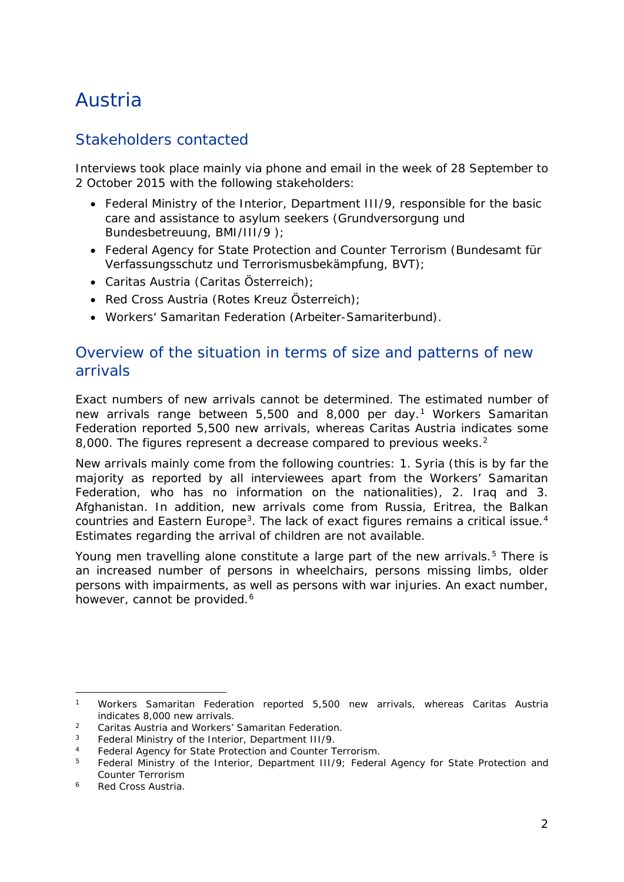## <span id="page-1-0"></span>Austria

### Stakeholders contacted

Interviews took place mainly via phone and email in the week of 28 September to 2 October 2015 with the following stakeholders:

- Federal Ministry of the Interior, Department III/9, responsible for the basic care and assistance to asylum seekers (*Grundversorgung und Bundesbetreuung*, *BMI/III/9* );
- Federal Agency for State Protection and Counter Terrorism (*Bundesamt für Verfassungsschutz und Terrorismusbekämpfung*, *BVT*);
- Caritas Austria (*Caritas Österreich*);
- Red Cross Austria (*Rotes Kreuz Österreich*);
- Workers' Samaritan Federation (*Arbeiter-Samariterbund*).

#### Overview of the situation in terms of size and patterns of new arrivals

Exact numbers of new arrivals cannot be determined. The estimated number of new arrivals range between 5,500 and 8,000 per day.[1](#page-1-1) Workers Samaritan Federation reported 5,500 new arrivals, whereas Caritas Austria indicates some 8,000. The figures represent a decrease compared to previous weeks.<sup>[2](#page-1-2)</sup>

New arrivals mainly come from the following countries: 1. Syria (this is by far the majority as reported by all interviewees apart from the Workers' Samaritan Federation, who has no information on the nationalities), 2. Iraq and 3. Afghanistan. In addition, new arrivals come from Russia, Eritrea, the Balkan countries and Eastern Europe<sup>[3](#page-1-3)</sup>. The lack of exact figures remains a critical issue.<sup>[4](#page-1-4)</sup> Estimates regarding the arrival of children are not available.

Young men travelling alone constitute a large part of the new arrivals.<sup>[5](#page-1-5)</sup> There is an increased number of persons in wheelchairs, persons missing limbs, older persons with impairments, as well as persons with war injuries. An exact number, however, cannot be provided.<sup>[6](#page-1-6)</sup>

<span id="page-1-1"></span><sup>1</sup> Workers Samaritan Federation reported 5,500 new arrivals, whereas Caritas Austria indicates 8,000 new arrivals. j.

<span id="page-1-2"></span><sup>&</sup>lt;sup>2</sup> Caritas Austria and Workers' Samaritan Federation.<br><sup>3</sup> Eaderal Ministry of the Interior, Department III/0

<span id="page-1-3"></span><sup>3</sup> Federal Ministry of the Interior, Department III/9.

<span id="page-1-4"></span><sup>4</sup> Federal Agency for State Protection and Counter Terrorism.<br>5 Eederal Ministry of the Interior Department III/9: Eedera

<span id="page-1-5"></span><sup>5</sup> Federal Ministry of the Interior, Department III/9; Federal Agency for State Protection and Counter Terrorism

<span id="page-1-6"></span><sup>6</sup> Red Cross Austria.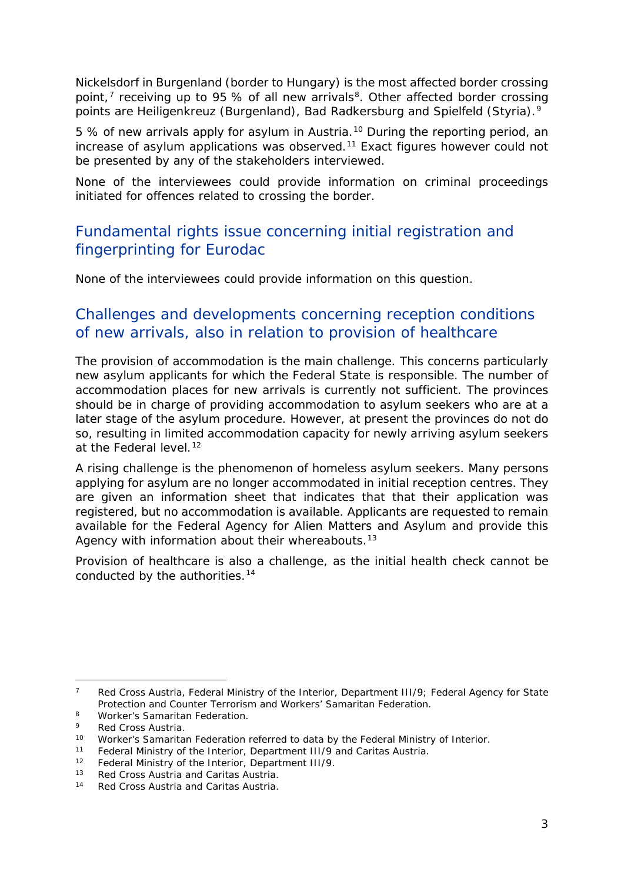<span id="page-2-1"></span>Nickelsdorf in Burgenland (border to Hungary) is the most affected border crossing point, $^7$  $^7$  receiving up to 95 % of all new arrivals<sup>8</sup>. Other affected border crossing points are Heiligenkreuz (Burgenland), Bad Radkersburg and Spielfeld (Styria).<sup>[9](#page-2-1)</sup>

5 % of new arrivals apply for asylum in Austria.[10](#page-2-2) During the reporting period, an increase of asylum applications was observed.<sup>[11](#page-2-1)</sup> Exact figures however could not be presented by any of the stakeholders interviewed.

None of the interviewees could provide information on criminal proceedings initiated for offences related to crossing the border.

### Fundamental rights issue concerning initial registration and fingerprinting for Eurodac

None of the interviewees could provide information on this question.

#### Challenges and developments concerning reception conditions of new arrivals, also in relation to provision of healthcare

The provision of accommodation is the main challenge. This concerns particularly new asylum applicants for which the Federal State is responsible. The number of accommodation places for new arrivals is currently not sufficient. The provinces should be in charge of providing accommodation to asylum seekers who are at a later stage of the asylum procedure. However, at present the provinces do not do so, resulting in limited accommodation capacity for newly arriving asylum seekers at the Federal level.<sup>[12](#page-2-3)</sup>

A rising challenge is the phenomenon of homeless asylum seekers. Many persons applying for asylum are no longer accommodated in initial reception centres. They are given an information sheet that indicates that that their application was registered, but no accommodation is available. Applicants are requested to remain available for the Federal Agency for Alien Matters and Asylum and provide this Agency with information about their whereabouts.<sup>[13](#page-2-4)</sup>

Provision of healthcare is also a challenge, as the initial health check cannot be conducted by the authorities.<sup>[14](#page-2-5)</sup>

<span id="page-2-0"></span><sup>&</sup>lt;sup>7</sup> Red Cross Austria, Federal Ministry of the Interior, Department III/9; Federal Agency for State Protection and Counter Terrorism and Workers' Samaritan Federation. j.

<sup>8</sup> Worker's Samaritan Federation.

<sup>&</sup>lt;sup>9</sup> Red Cross Austria.<br><sup>10</sup> Worker's Samarita

<span id="page-2-2"></span><sup>10</sup> Worker's Samaritan Federation referred to data by the Federal Ministry of Interior.<br>11 Eoderal Ministry of the Interior, Department III/9 and Caritas Austria

Federal Ministry of the Interior, Department III/9 and Caritas Austria.

<span id="page-2-3"></span><sup>12</sup> Federal Ministry of the Interior, Department III/9.

<span id="page-2-5"></span><span id="page-2-4"></span><sup>&</sup>lt;sup>13</sup> Red Cross Austria and Caritas Austria.<br><sup>14</sup> Ped Cross Austria and Caritas Austria.

<sup>14</sup> Red Cross Austria and Caritas Austria.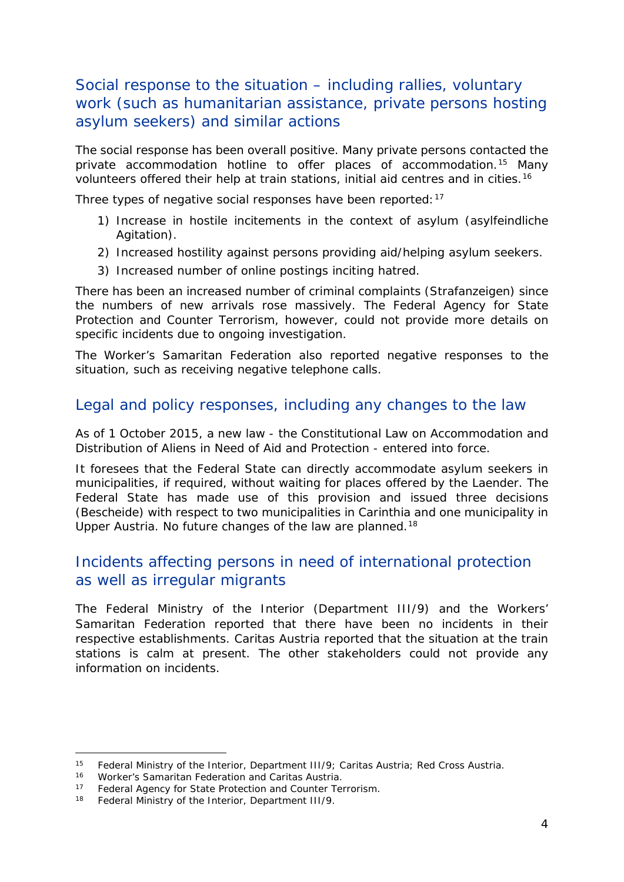#### <span id="page-3-1"></span>Social response to the situation – including rallies, voluntary work (such as humanitarian assistance, private persons hosting asylum seekers) and similar actions

The social response has been overall positive. Many private persons contacted the private accommodation hotline to offer places of accommodation.<sup>[15](#page-3-0)</sup> Many volunteers offered their help at train stations, initial aid centres and in cities.[16](#page-3-1)

Three types of negative social responses have been reported: [17](#page-3-2)

- 1) Increase in hostile incitements in the context of asylum (*asylfeindliche Agitation*).
- 2) Increased hostility against persons providing aid/helping asylum seekers.
- 3) Increased number of online postings inciting hatred.

There has been an increased number of criminal complaints (*Strafanzeigen*) since the numbers of new arrivals rose massively. The Federal Agency for State Protection and Counter Terrorism, however, could not provide more details on specific incidents due to ongoing investigation.

The Worker's Samaritan Federation also reported negative responses to the situation, such as receiving negative telephone calls.

#### Legal and policy responses, including any changes to the law

As of 1 October 2015, a new law - the Constitutional Law on Accommodation and Distribution of Aliens in Need of Aid and Protection - entered into force.

It foresees that the Federal State can directly accommodate asylum seekers in municipalities, if required, without waiting for places offered by the Laender. The Federal State has made use of this provision and issued three decisions (*Bescheide*) with respect to two municipalities in Carinthia and one municipality in Upper Austria. No future changes of the law are planned.<sup>[18](#page-3-3)</sup>

#### Incidents affecting persons in need of international protection as well as irregular migrants

The Federal Ministry of the Interior (Department III/9) and the Workers' Samaritan Federation reported that there have been no incidents in their respective establishments. Caritas Austria reported that the situation at the train stations is calm at present. The other stakeholders could not provide any information on incidents.

<span id="page-3-0"></span><sup>&</sup>lt;sup>15</sup> Federal Ministry of the Interior, Department III/9; Caritas Austria; Red Cross Austria.<br><sup>16</sup> Morker's Samaritan Eoderation and Caritas Austria. -

<sup>16</sup> Worker's Samaritan Federation and Caritas Austria.<br>17 Eoderal Agency for State Protection and Counter Tel

Federal Agency for State Protection and Counter Terrorism.

<span id="page-3-3"></span><span id="page-3-2"></span><sup>18</sup> Federal Ministry of the Interior, Department III/9.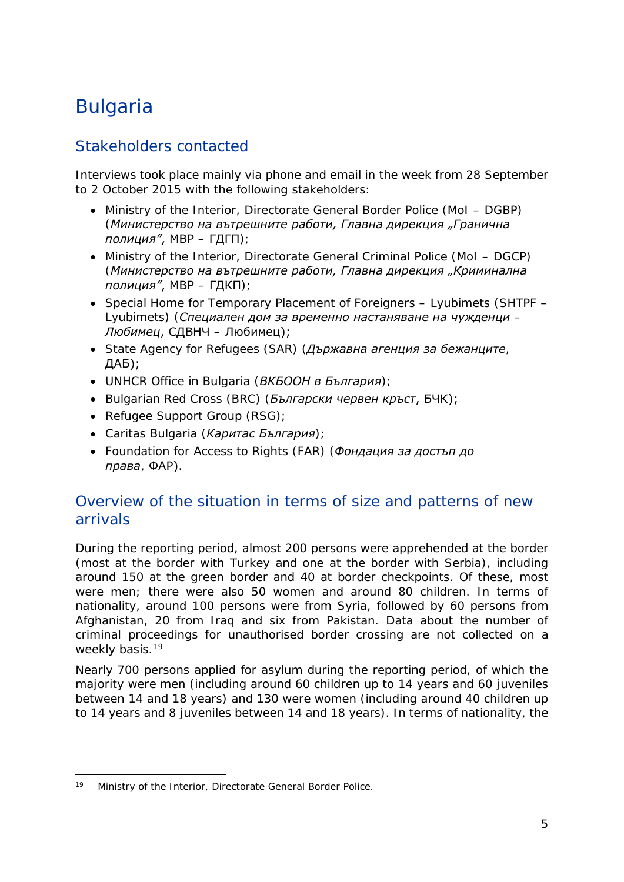# <span id="page-4-0"></span>Bulgaria

#### Stakeholders contacted

Interviews took place mainly via phone and email in the week from 28 September to 2 October 2015 with the following stakeholders:

- Ministry of the Interior, Directorate General Border Police (MoI DGBP) (*Министерство на вътрешните работи, Главна дирекция "Гранична полиция"*, МВР – ГДГП);
- Ministry of the Interior, Directorate General Criminal Police (MoI DGCP) (*Министерство на вътрешните работи, Главна дирекция "Криминална полиция"*, МВР – ГДКП);
- Special Home for Temporary Placement of Foreigners Lyubimets (SHTPF Lyubimets) (*Специален дом за временно настаняване на чужденци – Любимец*, СДВНЧ – Любимец);
- State Agency for Refugees (SAR) (*Държавна агенция за бежанците*, ДАБ);
- UNHCR Office in Bulgaria (*ВКБООН в България*);
- Bulgarian Red Cross (BRC) (*Български червен кръст*, БЧК);
- Refugee Support Group (RSG);
- Caritas Bulgaria (*Каритас България*);
- Foundation for Access to Rights (FAR) (*Фондация за достъп до права*, ФАР).

#### Overview of the situation in terms of size and patterns of new arrivals

During the reporting period, almost 200 persons were apprehended at the border (most at the border with Turkey and one at the border with Serbia), including around 150 at the green border and 40 at border checkpoints. Of these, most were men; there were also 50 women and around 80 children. In terms of nationality, around 100 persons were from Syria, followed by 60 persons from Afghanistan, 20 from Iraq and six from Pakistan. Data about the number of criminal proceedings for unauthorised border crossing are not collected on a weekly basis.<sup>[19](#page-4-1)</sup>

Nearly 700 persons applied for asylum during the reporting period, of which the majority were men (including around 60 children up to 14 years and 60 juveniles between 14 and 18 years) and 130 were women (including around 40 children up to 14 years and 8 juveniles between 14 and 18 years). In terms of nationality, the

<span id="page-4-1"></span><sup>19</sup> Ministry of the Interior, Directorate General Border Police. j.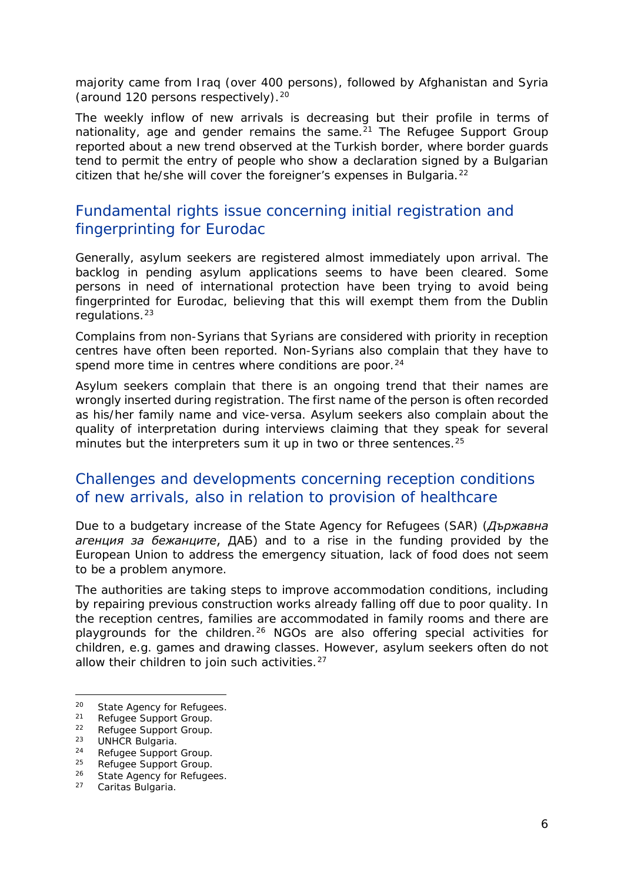<span id="page-5-2"></span>majority came from Iraq (over 400 persons), followed by Afghanistan and Syria (around 1[20](#page-5-0) persons respectively).<sup>20</sup>

The weekly inflow of new arrivals is decreasing but their profile in terms of nationality, age and gender remains the same. $21$  The Refugee Support Group reported about a new trend observed at the Turkish border, where border guards tend to permit the entry of people who show a declaration signed by a Bulgarian citizen that he/she will cover the foreigner's expenses in Bulgaria.<sup>[22](#page-5-2)</sup>

#### Fundamental rights issue concerning initial registration and fingerprinting for Eurodac

Generally, asylum seekers are registered almost immediately upon arrival. The backlog in pending asylum applications seems to have been cleared. Some persons in need of international protection have been trying to avoid being fingerprinted for Eurodac, believing that this will exempt them from the Dublin regulations.[23](#page-5-3)

Complains from non-Syrians that Syrians are considered with priority in reception centres have often been reported. Non-Syrians also complain that they have to spend more time in centres where conditions are poor. $24$ 

Asylum seekers complain that there is an ongoing trend that their names are wrongly inserted during registration. The first name of the person is often recorded as his/her family name and vice-versa. Asylum seekers also complain about the quality of interpretation during interviews claiming that they speak for several minutes but the interpreters sum it up in two or three sentences.<sup>[25](#page-5-5)</sup>

#### Challenges and developments concerning reception conditions of new arrivals, also in relation to provision of healthcare

Due to a budgetary increase of the State Agency for Refugees (SAR) (*Държавна агенция за бежанците*, ДАБ) and to a rise in the funding provided by the European Union to address the emergency situation, lack of food does not seem to be a problem anymore.

The authorities are taking steps to improve accommodation conditions, including by repairing previous construction works already falling off due to poor quality. In the reception centres, families are accommodated in family rooms and there are playgrounds for the children.<sup>[26](#page-5-6)</sup> NGOs are also offering special activities for children, e.g. games and drawing classes. However, asylum seekers often do not allow their children to join such activities. $27$ 

<span id="page-5-0"></span>20 State Agency for Refugees.<br>
21 Refugee Support Group.<br>
22 Petugee Support Group.

-

<span id="page-5-1"></span><sup>&</sup>lt;sup>22</sup> Refugee Support Group.<br><sup>23</sup> LINUCP Bulgaria

<span id="page-5-3"></span><sup>&</sup>lt;sup>23</sup> UNHCR Bulgaria.

<span id="page-5-4"></span> $24$  Refugee Support Group.<br> $25$  Befugee Support Group.

Refugee Support Group.

<span id="page-5-6"></span><span id="page-5-5"></span><sup>&</sup>lt;sup>26</sup> State Agency for Refugees.

<sup>27</sup> Caritas Bulgaria.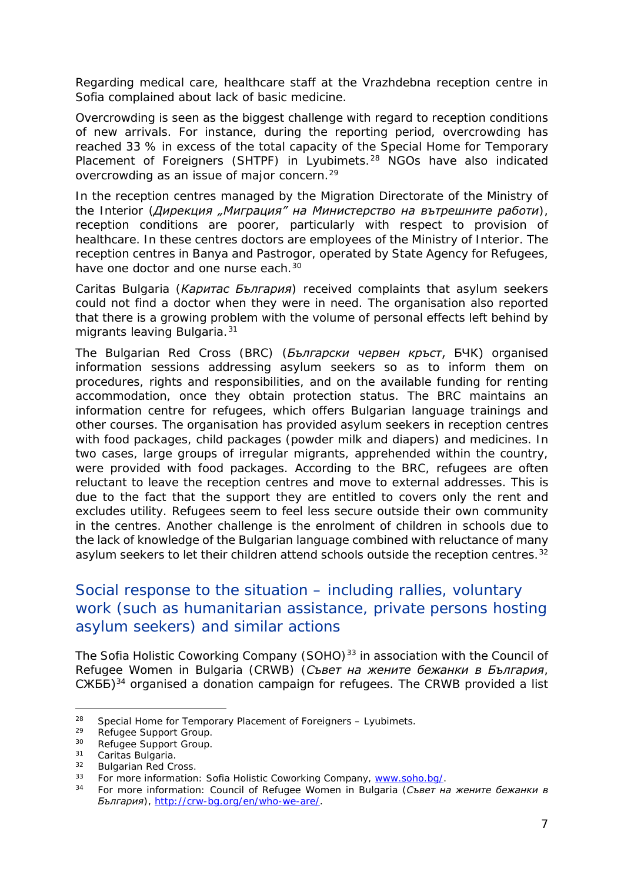<span id="page-6-1"></span>Regarding medical care, healthcare staff at the Vrazhdebna reception centre in Sofia complained about lack of basic medicine.

Overcrowding is seen as the biggest challenge with regard to reception conditions of new arrivals. For instance, during the reporting period, overcrowding has reached 33 % in excess of the total capacity of the Special Home for Temporary Placement of Foreigners (SHTPF) in Lyubimets.<sup>[28](#page-6-0)</sup> NGOs have also indicated overcrowding as an issue of major concern.[29](#page-6-1)

In the reception centres managed by the Migration Directorate of the Ministry of the Interior (*Дирекция "Миграция" на Министерство на вътрешните работи*), reception conditions are poorer, particularly with respect to provision of healthcare. In these centres doctors are employees of the Ministry of Interior. The reception centres in Banya and Pastrogor, operated by State Agency for Refugees, have one doctor and one nurse each.<sup>[30](#page-6-2)</sup>

Caritas Bulgaria (*Каритас България*) received complaints that asylum seekers could not find a doctor when they were in need. The organisation also reported that there is a growing problem with the volume of personal effects left behind by migrants leaving Bulgaria.<sup>[31](#page-6-3)</sup>

The Bulgarian Red Cross (BRC) (*Български червен кръст*, БЧК) organised information sessions addressing asylum seekers so as to inform them on procedures, rights and responsibilities, and on the available funding for renting accommodation, once they obtain protection status. The BRC maintains an information centre for refugees, which offers Bulgarian language trainings and other courses. The organisation has provided asylum seekers in reception centres with food packages, child packages (powder milk and diapers) and medicines. In two cases, large groups of irregular migrants, apprehended within the country, were provided with food packages. According to the BRC, refugees are often reluctant to leave the reception centres and move to external addresses. This is due to the fact that the support they are entitled to covers only the rent and excludes utility. Refugees seem to feel less secure outside their own community in the centres. Another challenge is the enrolment of children in schools due to the lack of knowledge of the Bulgarian language combined with reluctance of many asylum seekers to let their children attend schools outside the reception centres.<sup>[32](#page-6-4)</sup>

#### Social response to the situation – including rallies, voluntary work (such as humanitarian assistance, private persons hosting asylum seekers) and similar actions

The Sofia Holistic Coworking Company (SOHO)<sup>[33](#page-6-5)</sup> in association with the Council of Refugee Women in Bulgaria (CRWB) (*Съвет на жените бежанки в България*, СЖББ)[34](#page-6-1) organised a donation campaign for refugees. The CRWB provided a list

<span id="page-6-0"></span><sup>&</sup>lt;sup>28</sup> Special Home for Temporary Placement of Foreigners – Lyubimets.<br><sup>29</sup> Pefusee Support Croup  $28$ 

 $29$  Refugee Support Group.<br> $20$  Pefugee Support Group.

<span id="page-6-2"></span><sup>&</sup>lt;sup>30</sup> Refugee Support Group.<br><sup>31</sup> Caritas Bulgaria

<span id="page-6-3"></span> $31$  Caritas Bulgaria.<br> $32$  Bulgarian Bod Cr

<span id="page-6-4"></span> $32$  Bulgarian Red Cross.<br> $33$  Est more information

<span id="page-6-5"></span><sup>&</sup>lt;sup>33</sup> For more information: Sofia Holistic Coworking Company, [www.soho.bg/.](http://www.soho.bg/)<br><sup>34</sup> For more information: Council of Befugee Women in Bulgaria (G Bet !!)

<sup>34</sup> For more information: Council of Refugee Women in Bulgaria (*Съвет на жените бежанки в България*), [http://crw-bg.org/en/who-we-are/.](http://crw-bg.org/en/who-we-are/)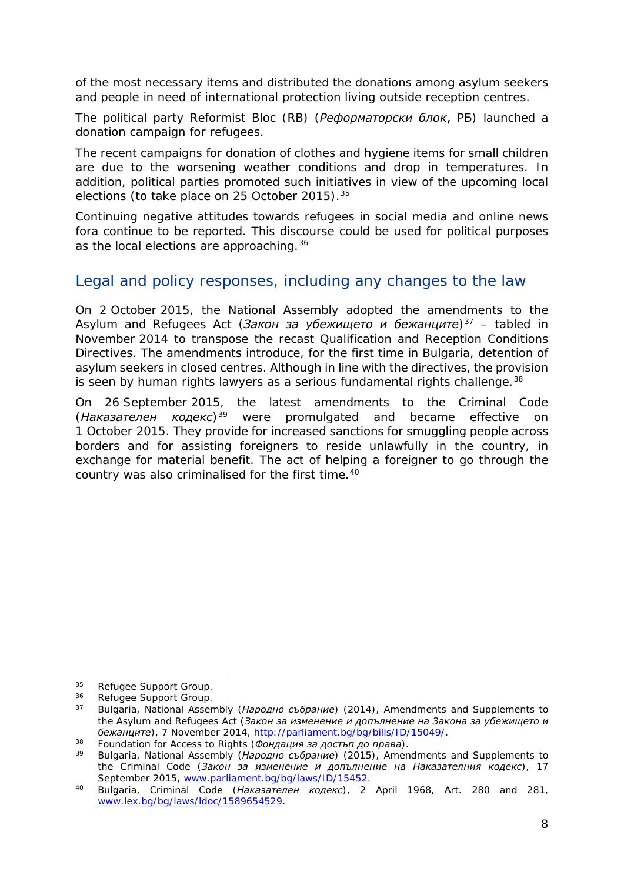<span id="page-7-3"></span>of the most necessary items and distributed the donations among asylum seekers and people in need of international protection living outside reception centres.

The political party Reformist Bloc (RB) (*Реформаторски блок*, РБ) launched a donation campaign for refugees.

The recent campaigns for donation of clothes and hygiene items for small children are due to the worsening weather conditions and drop in temperatures. In addition, political parties promoted such initiatives in view of the upcoming local elections (to take place on 25 October 2015).[35](#page-7-0)

Continuing negative attitudes towards refugees in social media and online news fora continue to be reported. This discourse could be used for political purposes as the local elections are approaching.<sup>[36](#page-7-1)</sup>

#### Legal and policy responses, including any changes to the law

On 2 October 2015, the National Assembly adopted the amendments to the Asylum and Refugees Act (Закон за убежището и бежанците)<sup>[37](#page-7-2)</sup> – tabled in November 2014 to transpose the recast Qualification and Reception Conditions Directives. The amendments introduce, for the first time in Bulgaria, detention of asylum seekers in closed centres. Although in line with the directives, the provision is seen by human rights lawyers as a serious fundamental rights challenge.<sup>[38](#page-7-3)</sup>

On 26 September 2015, the latest amendments to the Criminal Code (*Наказателен кодекс*)[39](#page-7-4) were promulgated and became effective on 1 October 2015. They provide for increased sanctions for smuggling people across borders and for assisting foreigners to reside unlawfully in the country, in exchange for material benefit. The act of helping a foreigner to go through the country was also criminalised for the first time.[40](#page-7-3)

<span id="page-7-0"></span> $35$  Refugee Support Group.<br> $36$  Defugee Support Croup.  $35<sup>5</sup>$ 

<span id="page-7-1"></span><sup>&</sup>lt;sup>36</sup> Refugee Support Group.<br><sup>37</sup> Pulgaria National Assen

<span id="page-7-2"></span><sup>37</sup> Bulgaria, National Assembly (*Народно събрание*) (2014), Amendments and Supplements to the Asylum and Refugees Act (*Закон за изменение и допълнение на Закона за убежището и бежанците*), 7 November 2014, [http://parliament.bg/bg/bills/ID/15049/.](http://parliament.bg/bg/bills/ID/15049/)

<span id="page-7-4"></span><sup>38</sup> Foundation for Access to Rights (*Фондация за достъп до права*).

<sup>39</sup> Bulgaria, National Assembly (*Народно събрание*) (2015), Amendments and Supplements to the Criminal Code (*Закон за изменение и допълнение на Наказателния кодекс*), 17 September 2015, [www.parliament.bg/bg/laws/ID/15452.](http://www.parliament.bg/bg/laws/ID/15452)

<sup>40</sup> Bulgaria, Criminal Code (*Наказателен кодекс*), 2 April 1968, Art. 280 and 281, [www.lex.bg/bg/laws/ldoc/1589654529.](http://www.lex.bg/bg/laws/ldoc/1589654529)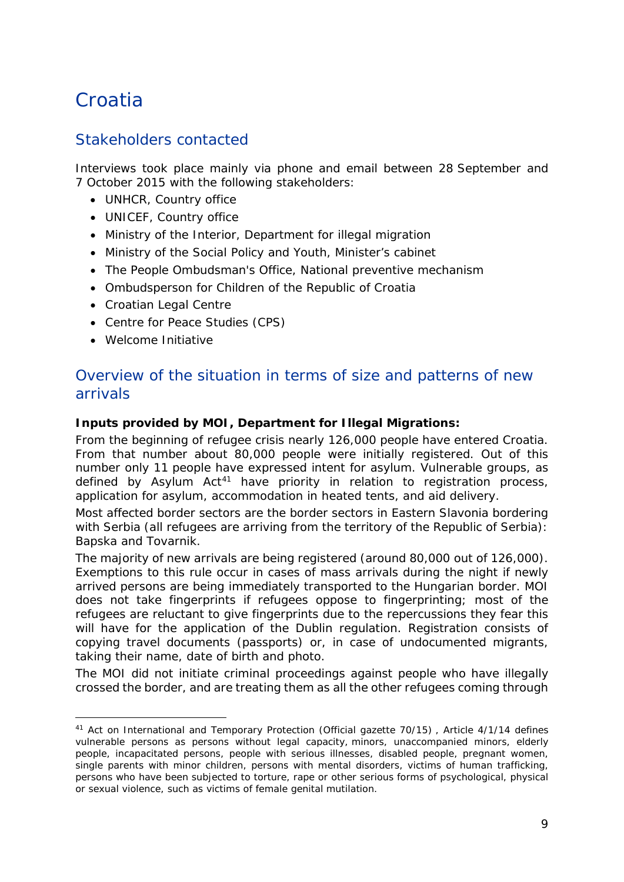## <span id="page-8-0"></span>Croatia

### Stakeholders contacted

Interviews took place mainly via phone and email between 28 September and 7 October 2015 with the following stakeholders:

- UNHCR, Country office
- UNICEF, Country office
- Ministry of the Interior, Department for illegal migration
- Ministry of the Social Policy and Youth, Minister's cabinet
- The People Ombudsman's Office, National preventive mechanism
- Ombudsperson for Children of the Republic of Croatia
- Croatian Legal Centre
- Centre for Peace Studies (CPS)
- Welcome Initiative

#### Overview of the situation in terms of size and patterns of new arrivals

#### **Inputs provided by MOI, Department for Illegal Migrations:**

From the beginning of refugee crisis nearly 126,000 people have entered Croatia. From that number about 80,000 people were initially registered. Out of this number only 11 people have expressed intent for asylum. Vulnerable groups, as defined by Asylum Act<sup>[41](#page-8-1)</sup> have priority in relation to registration process, application for asylum, accommodation in heated tents, and aid delivery.

Most affected border sectors are the border sectors in Eastern Slavonia bordering with Serbia (all refugees are arriving from the territory of the Republic of Serbia): Bapska and Tovarnik.

The majority of new arrivals are being registered (around 80,000 out of 126,000). Exemptions to this rule occur in cases of mass arrivals during the night if newly arrived persons are being immediately transported to the Hungarian border. MOI does not take fingerprints if refugees oppose to fingerprinting; most of the refugees are reluctant to give fingerprints due to the repercussions they fear this will have for the application of the Dublin regulation. Registration consists of copying travel documents (passports) or, in case of undocumented migrants, taking their name, date of birth and photo.

The MOI did not initiate criminal proceedings against people who have illegally crossed the border, and are treating them as all the other refugees coming through

<span id="page-8-1"></span><sup>41</sup> Act on International and Temporary Protection (Official gazette 70/15) , Article 4/1/14 defines vulnerable persons as persons without legal capacity, minors, unaccompanied minors, elderly people, incapacitated persons, people with serious illnesses, disabled people, pregnant women, single parents with minor children, persons with mental disorders, victims of human trafficking, persons who have been subjected to torture, rape or other serious forms of psychological, physical or sexual violence, such as victims of female genital mutilation. -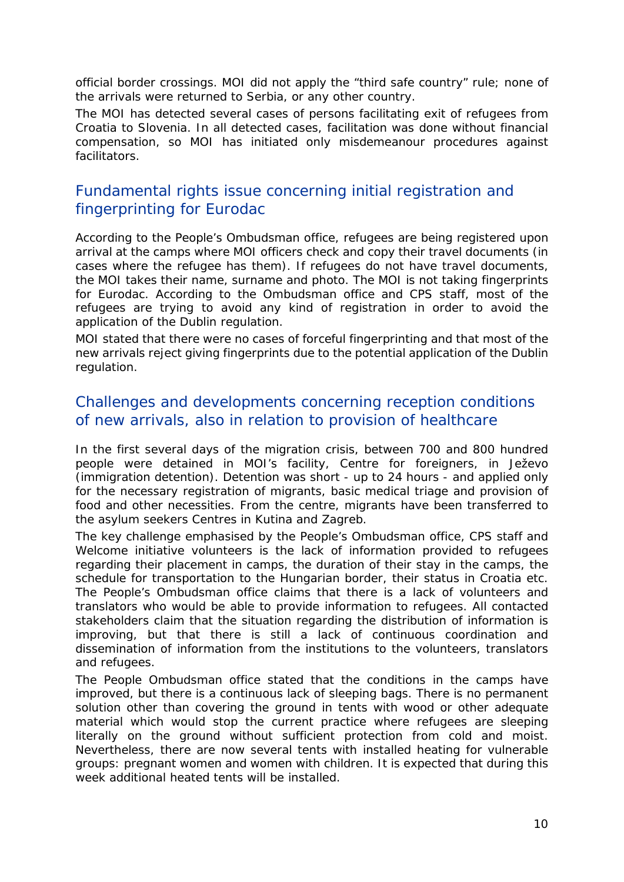official border crossings. MOI did not apply the "third safe country" rule; none of the arrivals were returned to Serbia, or any other country.

The MOI has detected several cases of persons facilitating exit of refugees from Croatia to Slovenia. In all detected cases, facilitation was done without financial compensation, so MOI has initiated only misdemeanour procedures against facilitators.

#### Fundamental rights issue concerning initial registration and fingerprinting for Eurodac

According to the People's Ombudsman office, refugees are being registered upon arrival at the camps where MOI officers check and copy their travel documents (in cases where the refugee has them). If refugees do not have travel documents, the MOI takes their name, surname and photo. The MOI is not taking fingerprints for Eurodac. According to the Ombudsman office and CPS staff, most of the refugees are trying to avoid any kind of registration in order to avoid the application of the Dublin regulation.

MOI stated that there were no cases of forceful fingerprinting and that most of the new arrivals reject giving fingerprints due to the potential application of the Dublin regulation.

#### Challenges and developments concerning reception conditions of new arrivals, also in relation to provision of healthcare

In the first several days of the migration crisis, between 700 and 800 hundred people were detained in MOI's facility, Centre for foreigners, in Ježevo (immigration detention). Detention was short - up to 24 hours - and applied only for the necessary registration of migrants, basic medical triage and provision of food and other necessities. From the centre, migrants have been transferred to the asylum seekers Centres in Kutina and Zagreb.

The key challenge emphasised by the People's Ombudsman office, CPS staff and Welcome initiative volunteers is the lack of information provided to refugees regarding their placement in camps, the duration of their stay in the camps, the schedule for transportation to the Hungarian border, their status in Croatia etc. The People's Ombudsman office claims that there is a lack of volunteers and translators who would be able to provide information to refugees. All contacted stakeholders claim that the situation regarding the distribution of information is improving, but that there is still a lack of continuous coordination and dissemination of information from the institutions to the volunteers, translators and refugees.

The People Ombudsman office stated that the conditions in the camps have improved, but there is a continuous lack of sleeping bags. There is no permanent solution other than covering the ground in tents with wood or other adequate material which would stop the current practice where refugees are sleeping literally on the ground without sufficient protection from cold and moist. Nevertheless, there are now several tents with installed heating for vulnerable groups: pregnant women and women with children. It is expected that during this week additional heated tents will be installed.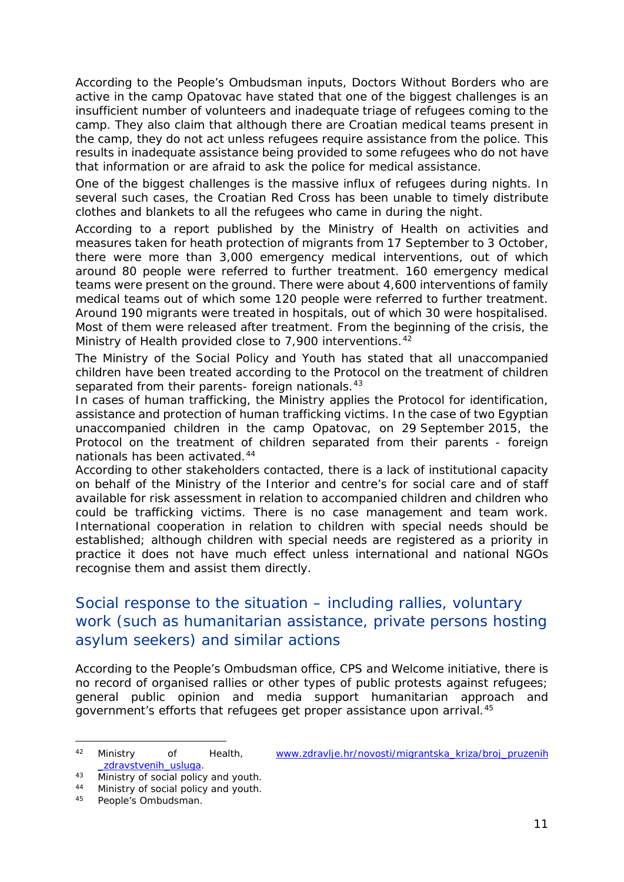According to the People's Ombudsman inputs, Doctors Without Borders who are active in the camp Opatovac have stated that one of the biggest challenges is an insufficient number of volunteers and inadequate triage of refugees coming to the camp. They also claim that although there are Croatian medical teams present in the camp, they do not act unless refugees require assistance from the police. This results in inadequate assistance being provided to some refugees who do not have that information or are afraid to ask the police for medical assistance.

One of the biggest challenges is the massive influx of refugees during nights. In several such cases, the Croatian Red Cross has been unable to timely distribute clothes and blankets to all the refugees who came in during the night.

According to a report published by the Ministry of Health on activities and measures taken for heath protection of migrants from 17 September to 3 October, there were more than 3,000 emergency medical interventions, out of which around 80 people were referred to further treatment. 160 emergency medical teams were present on the ground. There were about 4,600 interventions of family medical teams out of which some 120 people were referred to further treatment. Around 190 migrants were treated in hospitals, out of which 30 were hospitalised. Most of them were released after treatment. From the beginning of the crisis, the Ministry of Health provided close to 7,900 interventions.<sup>[42](#page-10-0)</sup>

The Ministry of the Social Policy and Youth has stated that all unaccompanied children have been treated according to the *Protocol on the treatment of children separated from their parents- foreign nationals*.[43](#page-10-1)

In cases of human trafficking, the Ministry applies the Protocol for identification, assistance and protection of human trafficking victims. In the case of two Egyptian unaccompanied children in the camp Opatovac, on 29 September 2015, the *Protocol on the treatment of children separated from their parents - foreign nationals* has been activated.[44](#page-10-2)

According to other stakeholders contacted, there is a lack of institutional capacity on behalf of the Ministry of the Interior and centre's for social care and of staff available for risk assessment in relation to accompanied children and children who could be trafficking victims. There is no case management and team work. International cooperation in relation to children with special needs should be established; although children with special needs are registered as a priority in practice it does not have much effect unless international and national NGOs recognise them and assist them directly.

#### Social response to the situation – including rallies, voluntary work (such as humanitarian assistance, private persons hosting asylum seekers) and similar actions

According to the People's Ombudsman office, CPS and Welcome initiative, there is no record of organised rallies or other types of public protests against refugees; general public opinion and media support humanitarian approach and government's efforts that refugees get proper assistance upon arrival.[45](#page-10-3)

-

<span id="page-10-0"></span><sup>42</sup> Ministry of Health, [www.zdravlje.hr/novosti/migrantska\\_kriza/broj\\_pruzenih](http://www.zdravlje.hr/novosti/migrantska_kriza/broj_pruzenih_zdravstvenih_usluga) zdravstvenih\_usluga.

<span id="page-10-1"></span><sup>43</sup> Ministry of social policy and youth.

<span id="page-10-3"></span><span id="page-10-2"></span><sup>&</sup>lt;sup>44</sup> Ministry of social policy and youth.<br><sup>45</sup> People's Ombudsman

People's Ombudsman.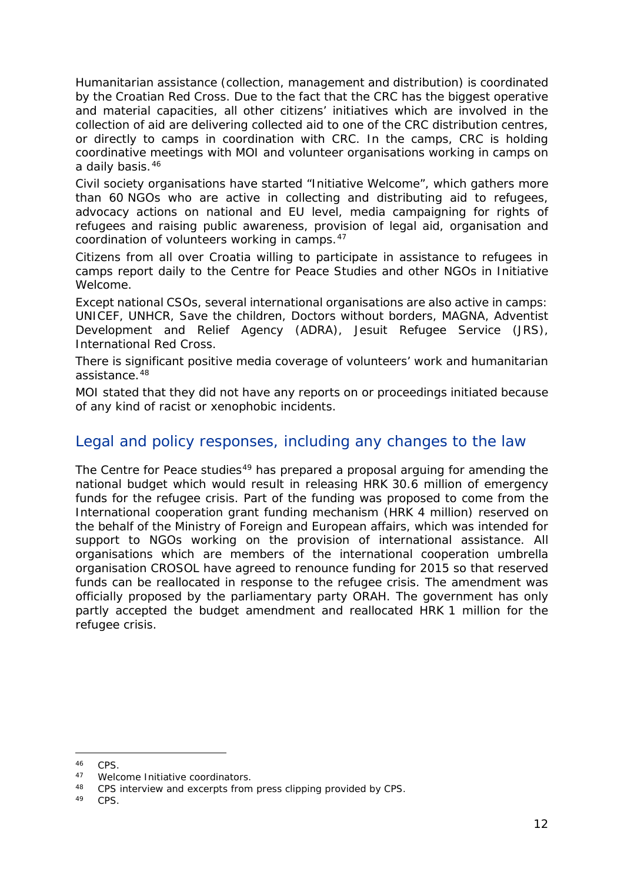Humanitarian assistance (collection, management and distribution) is coordinated by the Croatian Red Cross. Due to the fact that the CRC has the biggest operative and material capacities, all other citizens' initiatives which are involved in the collection of aid are delivering collected aid to one of the CRC distribution centres, or directly to camps in coordination with CRC. In the camps, CRC is holding coordinative meetings with MOI and volunteer organisations working in camps on a daily basis.[46](#page-11-1)

Civil society organisations have started "Initiative Welcome", which gathers more than 60 NGOs who are active in collecting and distributing aid to refugees, advocacy actions on national and EU level, media campaigning for rights of refugees and raising public awareness, provision of legal aid, organisation and coordination of volunteers working in camps.[47](#page-11-2)

Citizens from all over Croatia willing to participate in assistance to refugees in camps report daily to the Centre for Peace Studies and other NGOs in Initiative Welcome.

Except national CSOs, several international organisations are also active in camps: UNICEF, UNHCR, Save the children, Doctors without borders, MAGNA, Adventist Development and Relief Agency (ADRA), Jesuit Refugee Service (JRS), International Red Cross.

There is significant positive media coverage of volunteers' work and humanitarian assistance.[48](#page-11-3)

MOI stated that they did not have any reports on or proceedings initiated because of any kind of racist or xenophobic incidents.

#### Legal and policy responses, including any changes to the law

The Centre for Peace studies<sup>[49](#page-11-4)</sup> has prepared a proposal arguing for amending the national budget which would result in releasing HRK 30.6 million of emergency funds for the refugee crisis. Part of the funding was proposed to come from the International cooperation grant funding mechanism (HRK 4 million) reserved on the behalf of the Ministry of Foreign and European affairs, which was intended for support to NGOs working on the provision of international assistance. All organisations which are members of the international cooperation umbrella organisation CROSOL have agreed to renounce funding for 2015 so that reserved funds can be reallocated in response to the refugee crisis. The amendment was officially proposed by the parliamentary party ORAH. The government has only partly accepted the budget amendment and reallocated HRK 1 million for the refugee crisis.

<span id="page-11-0"></span>-

<span id="page-11-1"></span> $46$  CPS.<br> $47$  Mole

<span id="page-11-2"></span><sup>47</sup> Welcome Initiative coordinators.

<span id="page-11-4"></span><span id="page-11-3"></span><sup>48</sup> CPS interview and excerpts from press clipping provided by CPS.<br>49 CPS

CPS.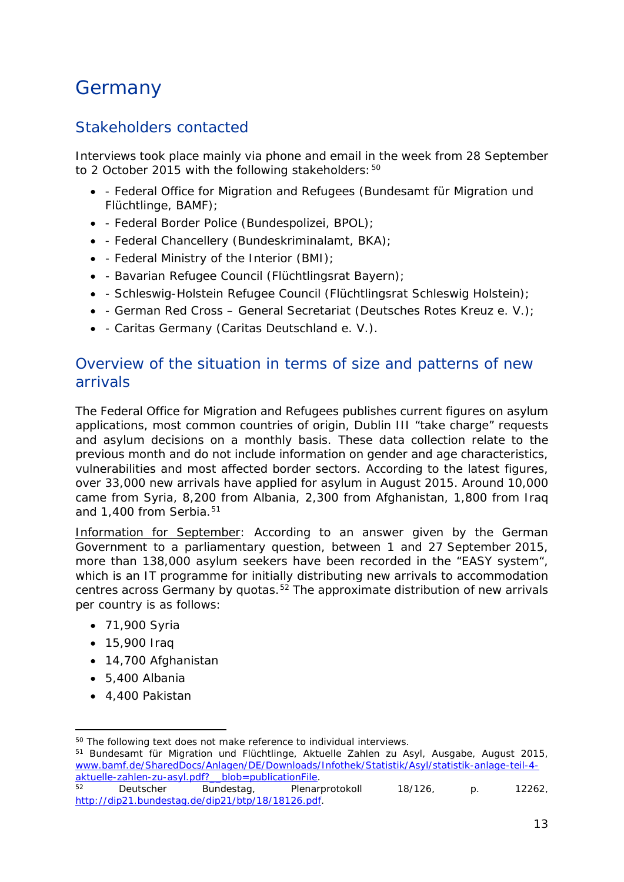# **Germany**

### Stakeholders contacted

Interviews took place mainly via phone and email in the week from 28 September to 2 October 2015 with the following stakeholders: [50](#page-12-0)

- - Federal Office for Migration and Refugees (*Bundesamt für Migration und Flüchtlinge, BAMF*);
- - Federal Border Police (*Bundespolizei, BPOL*);
- - Federal Chancellery (*Bundeskriminalamt, BKA*);
- - Federal Ministry of the Interior (BMI);
- - Bavarian Refugee Council (*Flüchtlingsrat Bayern*);
- - Schleswig-Holstein Refugee Council (*Flüchtlingsrat Schleswig Holstein*);
- - German Red Cross General Secretariat (*Deutsches Rotes Kreuz e. V*.);
- - Caritas Germany (*Caritas Deutschland e. V*.).

#### Overview of the situation in terms of size and patterns of new arrivals

The Federal Office for Migration and Refugees publishes current figures on asylum applications, most common countries of origin, Dublin III "take charge" requests and asylum decisions on a *monthly* basis. These data collection relate to the previous month and do not include information on gender and age characteristics, vulnerabilities and most affected border sectors. According to the latest figures, over 33,000 new arrivals have applied for asylum in August 2015. Around 10,000 came from Syria, 8,200 from Albania, 2,300 from Afghanistan, 1,800 from Iraq and 1,400 from Serbia.<sup>[51](#page-12-1)</sup>

Information for September: According to an answer given by the German Government to a parliamentary question, between 1 and 27 September 2015, more than 138,000 asylum seekers have been recorded in the "EASY system", which is an IT programme for initially distributing new arrivals to accommodation centres across Germany by quotas.<sup>[52](#page-12-2)</sup> The approximate distribution of new arrivals per country is as follows:

- 71,900 Syria
- 15,900 Iraq
- 14,700 Afghanistan
- 5,400 Albania
- 4,400 Pakistan

<span id="page-12-1"></span><span id="page-12-0"></span><sup>51</sup> *Bundesamt für Migration und Flüchtlinge, Aktuelle Zahlen zu Asyl, Ausgabe*, August 2015, [www.bamf.de/SharedDocs/Anlagen/DE/Downloads/Infothek/Statistik/Asyl/statistik-anlage-teil-4](https://www.bamf.de/SharedDocs/Anlagen/DE/Downloads/Infothek/Statistik/Asyl/statistik-anlage-teil-4-aktuelle-zahlen-zu-asyl.pdf?__blob=publicationFile) aktuelle-zahlen-zu-asyl.pdf? blob=publicationFile.<br>
<sup>52</sup> Deutscher Bundestag, Plenar

<sup>&</sup>lt;sup>50</sup> The following text does not make reference to individual interviews. -

<span id="page-12-2"></span><sup>52</sup> Deutscher Bundestag, Plenarprotokoll 18/126, p. 12262, [http://dip21.bundestag.de/dip21/btp/18/18126.pdf.](http://dip21.bundestag.de/dip21/btp/18/18126.pdf)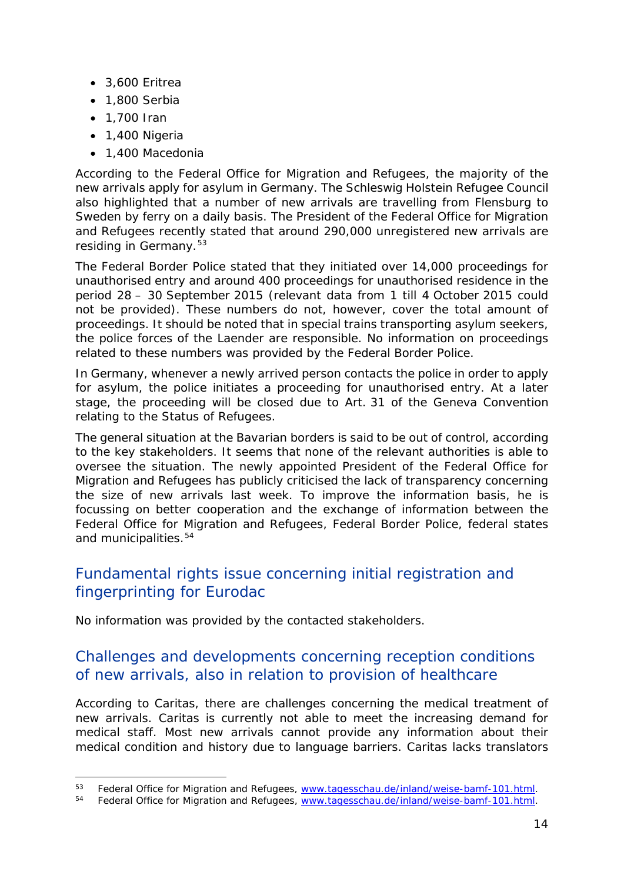- 3,600 Eritrea
- 1,800 Serbia
- 1,700 Iran

-

- 1,400 Nigeria
- 1,400 Macedonia

According to the Federal Office for Migration and Refugees, the majority of the new arrivals apply for asylum in Germany. The Schleswig Holstein Refugee Council also highlighted that a number of new arrivals are travelling from Flensburg to Sweden by ferry on a daily basis. The President of the Federal Office for Migration and Refugees recently stated that around 290,000 unregistered new arrivals are residing in Germany.<sup>[53](#page-13-0)</sup>

The Federal Border Police stated that they initiated over 14,000 proceedings for unauthorised entry and around 400 proceedings for unauthorised residence in the period 28 – 30 September 2015 (relevant data from 1 till 4 October 2015 could not be provided). These numbers do not, however, cover the total amount of proceedings. It should be noted that in special trains transporting asylum seekers, the police forces of the Laender are responsible. No information on proceedings related to these numbers was provided by the Federal Border Police.

In Germany, whenever a newly arrived person contacts the police in order to apply for asylum, the police initiates a proceeding for unauthorised entry. At a later stage, the proceeding will be closed due to Art. 31 of the Geneva Convention relating to the Status of Refugees.

The general situation at the Bavarian borders is said to be out of control, according to the key stakeholders. It seems that none of the relevant authorities is able to oversee the situation. The newly appointed President of the Federal Office for Migration and Refugees has publicly criticised the lack of transparency concerning the size of new arrivals last week. To improve the information basis, he is focussing on better cooperation and the exchange of information between the Federal Office for Migration and Refugees, Federal Border Police, federal states and municipalities.<sup>[54](#page-13-1)</sup>

### Fundamental rights issue concerning initial registration and fingerprinting for Eurodac

No information was provided by the contacted stakeholders.

#### Challenges and developments concerning reception conditions of new arrivals, also in relation to provision of healthcare

According to Caritas, there are challenges concerning the medical treatment of new arrivals. Caritas is currently not able to meet the increasing demand for medical staff. Most new arrivals cannot provide any information about their medical condition and history due to language barriers. Caritas lacks translators

<span id="page-13-0"></span><sup>&</sup>lt;sup>53</sup> Federal Office for Migration and Refugees, [www.tagesschau.de/inland/weise-bamf-101.html.](https://www.tagesschau.de/inland/weise-bamf-101.html)

<span id="page-13-1"></span><sup>&</sup>lt;sup>54</sup> Federal Office for Migration and Refugees, [www.tagesschau.de/inland/weise-bamf-101.html.](https://www.tagesschau.de/inland/weise-bamf-101.html)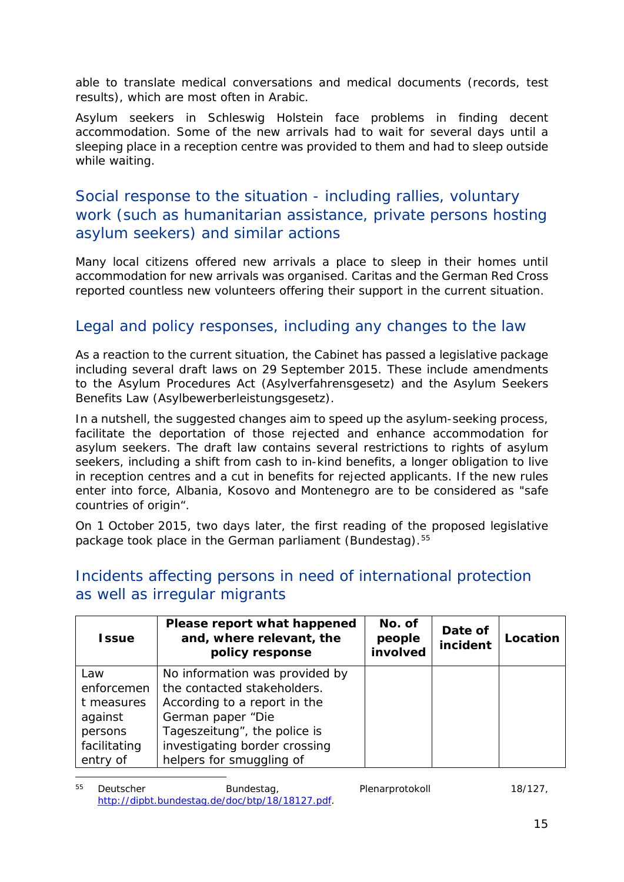able to translate medical conversations and medical documents (records, test results), which are most often in Arabic.

Asylum seekers in Schleswig Holstein face problems in finding decent accommodation. Some of the new arrivals had to wait for several days until a sleeping place in a reception centre was provided to them and had to sleep outside while waiting.

#### Social response to the situation - including rallies, voluntary work (such as humanitarian assistance, private persons hosting asylum seekers) and similar actions

Many local citizens offered new arrivals a place to sleep in their homes until accommodation for new arrivals was organised. Caritas and the German Red Cross reported countless new volunteers offering their support in the current situation.

### Legal and policy responses, including any changes to the law

As a reaction to the current situation, the Cabinet has passed a legislative package including several draft laws on 29 September 2015. These include amendments to the Asylum Procedures Act (*Asylverfahrensgeset*z) and the Asylum Seekers Benefits Law (*Asylbewerberleistungsgesetz*).

In a nutshell, the suggested changes aim to speed up the asylum-seeking process, facilitate the deportation of those rejected and enhance accommodation for asylum seekers. The draft law contains several restrictions to rights of asylum seekers, including a shift from cash to in-kind benefits, a longer obligation to live in reception centres and a cut in benefits for rejected applicants. If the new rules enter into force, Albania, Kosovo and Montenegro are to be considered as "safe countries of origin".

On 1 October 2015, two days later, the first reading of the proposed legislative package took place in the German parliament (Bundestag).<sup>[55](#page-14-0)</sup>

| <b>Issue</b> | Please report what happened<br>and, where relevant, the<br>policy response | No. of<br>people<br>involved | Date of<br>incident | Location |
|--------------|----------------------------------------------------------------------------|------------------------------|---------------------|----------|
| Law          | No information was provided by                                             |                              |                     |          |
| enforcemen   | the contacted stakeholders.                                                |                              |                     |          |
| t measures   | According to a report in the                                               |                              |                     |          |
| against      | German paper "Die                                                          |                              |                     |          |
| persons      | Tageszeitung", the police is                                               |                              |                     |          |
| facilitating | investigating border crossing                                              |                              |                     |          |
| entry of     | helpers for smuggling of                                                   |                              |                     |          |

#### Incidents affecting persons in need of international protection as well as irregular migrants

<span id="page-14-0"></span><sup>55</sup> *Deutscher Bundestag, Plenarprotokoll 18/127*, [http://dipbt.bundestag.de/doc/btp/18/18127.pdf.](http://dipbt.bundestag.de/doc/btp/18/18127.pdf) 55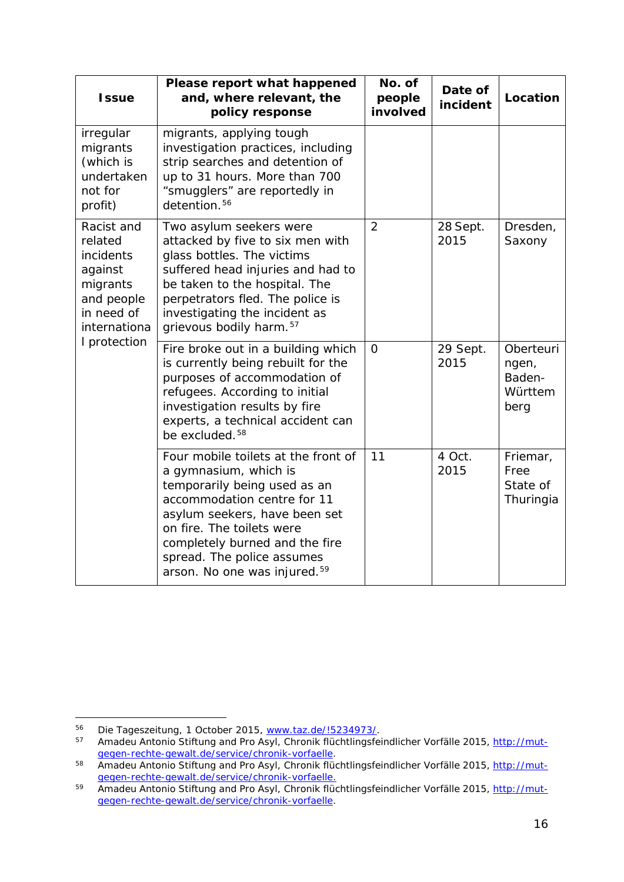| <b>Issue</b>                                                                                                          | Please report what happened<br>and, where relevant, the<br>policy response                                                                                                                                                                                                                            | No. of<br>people<br>involved | Date of<br>incident | Location                                        |
|-----------------------------------------------------------------------------------------------------------------------|-------------------------------------------------------------------------------------------------------------------------------------------------------------------------------------------------------------------------------------------------------------------------------------------------------|------------------------------|---------------------|-------------------------------------------------|
| irregular<br>migrants<br>(which is<br>undertaken<br>not for<br>profit)                                                | migrants, applying tough<br>investigation practices, including<br>strip searches and detention of<br>up to 31 hours. More than 700<br>"smugglers" are reportedly in<br>detention. <sup>56</sup>                                                                                                       |                              |                     |                                                 |
| Racist and<br>related<br>incidents<br>against<br>migrants<br>and people<br>in need of<br>internationa<br>I protection | Two asylum seekers were<br>attacked by five to six men with<br>glass bottles. The victims<br>suffered head injuries and had to<br>be taken to the hospital. The<br>perpetrators fled. The police is<br>investigating the incident as<br>grievous bodily harm. <sup>57</sup>                           | 2                            | 28 Sept.<br>2015    | Dresden,<br>Saxony                              |
|                                                                                                                       | Fire broke out in a building which<br>is currently being rebuilt for the<br>purposes of accommodation of<br>refugees. According to initial<br>investigation results by fire<br>experts, a technical accident can<br>be excluded. <sup>58</sup>                                                        | $\Omega$                     | 29 Sept.<br>2015    | Oberteuri<br>ngen,<br>Baden-<br>Württem<br>berg |
|                                                                                                                       | Four mobile toilets at the front of<br>a gymnasium, which is<br>temporarily being used as an<br>accommodation centre for 11<br>asylum seekers, have been set<br>on fire. The toilets were<br>completely burned and the fire<br>spread. The police assumes<br>arson. No one was injured. <sup>59</sup> | 11                           | 4 Oct.<br>2015      | Friemar,<br>Free<br>State of<br>Thuringia       |

<span id="page-15-0"></span><sup>56</sup> *Die Tageszeitung*, 1 October 2015, [www.taz.de/!5234973/.](http://www.taz.de/!5234973/) 56

<span id="page-15-1"></span><sup>57</sup> *Amadeu Antonio Stiftung and Pro Asyl, Chronik flüchtlingsfeindlicher Vorfälle 2015*, [http://mut](http://mut-gegen-rechte-gewalt.de/service/chronik-vorfaelle)[gegen-rechte-gewalt.de/service/chronik-vorfaelle.](http://mut-gegen-rechte-gewalt.de/service/chronik-vorfaelle)

<span id="page-15-2"></span><sup>58</sup> Amadeu Antonio Stiftung and Pro Asyl, Chronik flüchtlingsfeindlicher Vorfälle 2015, [http://mut](http://mut-gegen-rechte-gewalt.de/service/chronik-vorfaelle.)[gegen-rechte-gewalt.de/service/chronik-vorfaelle.](http://mut-gegen-rechte-gewalt.de/service/chronik-vorfaelle.)

<span id="page-15-3"></span><sup>59</sup> *Amadeu Antonio Stiftung and Pro Asyl, Chronik flüchtlingsfeindlicher Vorfälle 2015*, [http://mut](http://mut-gegen-rechte-gewalt.de/service/chronik-vorfaelle)[gegen-rechte-gewalt.de/service/chronik-vorfaelle.](http://mut-gegen-rechte-gewalt.de/service/chronik-vorfaelle)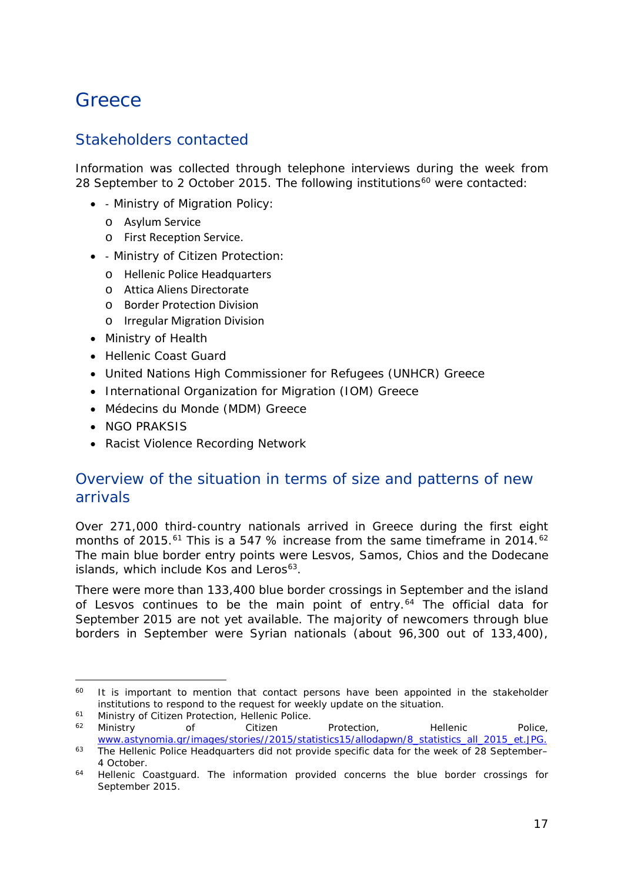### <span id="page-16-0"></span>**Greece**

#### Stakeholders contacted

Information was collected through telephone interviews during the week from 28 September to 2 October 2015. The following institutions<sup>[60](#page-16-1)</sup> were contacted:

- - Ministry of Migration Policy:
	- o Asylum Service
	- o First Reception Service.
- - Ministry of Citizen Protection:
	- o Hellenic Police Headquarters
	- o Attica Aliens Directorate
	- o Border Protection Division
	- o Irregular Migration Division
- Ministry of Health
- Hellenic Coast Guard
- United Nations High Commissioner for Refugees (UNHCR) Greece
- International Organization for Migration (IOM) Greece
- Médecins du Monde (MDM) Greece
- NGO PRAKSIS

j.

• Racist Violence Recording Network

#### Overview of the situation in terms of size and patterns of new arrivals

Over 271,000 third-country nationals arrived in Greece during the first eight months of 2015.<sup>[61](#page-16-2)</sup> This is a 547 % increase from the same timeframe in 2014.<sup>[62](#page-16-3)</sup> The main blue border entry points were Lesvos, Samos, Chios and the Dodecane islands, which include Kos and Leros $63$ .

There were more than 133,400 blue border crossings in September and the island of Lesvos continues to be the main point of entry.<sup>[64](#page-16-5)</sup> The official data for September 2015 are not yet available. The majority of newcomers through blue borders in September were Syrian nationals (about 96,300 out of 133,400),

<span id="page-16-1"></span><sup>&</sup>lt;sup>60</sup> It is important to mention that contact persons have been appointed in the stakeholder institutions to respond to the request for weekly update on the situation.

<span id="page-16-2"></span><sup>&</sup>lt;sup>61</sup> Ministry of Citizen Protection, Hellenic Police.<br><sup>62</sup> Ministry of Citizen

<span id="page-16-3"></span><sup>&</sup>lt;sup>62</sup> Ministry of Citizen Protection, Hellenic Police, [www.astynomia.gr/images/stories//2015/statistics15/allodapwn/8\\_statistics\\_all\\_2015\\_et.JPG.](http://www.astynomia.gr/images/stories/2015/statistics15/allodapwn/8_statistics_all_2015_et.JPG)

<span id="page-16-4"></span><sup>&</sup>lt;sup>63</sup> The Hellenic Police Headquarters did not provide specific data for the week of 28 September– 4 October.

<span id="page-16-5"></span><sup>&</sup>lt;sup>64</sup> Hellenic Coastguard. The information provided concerns the blue border crossings for September 2015.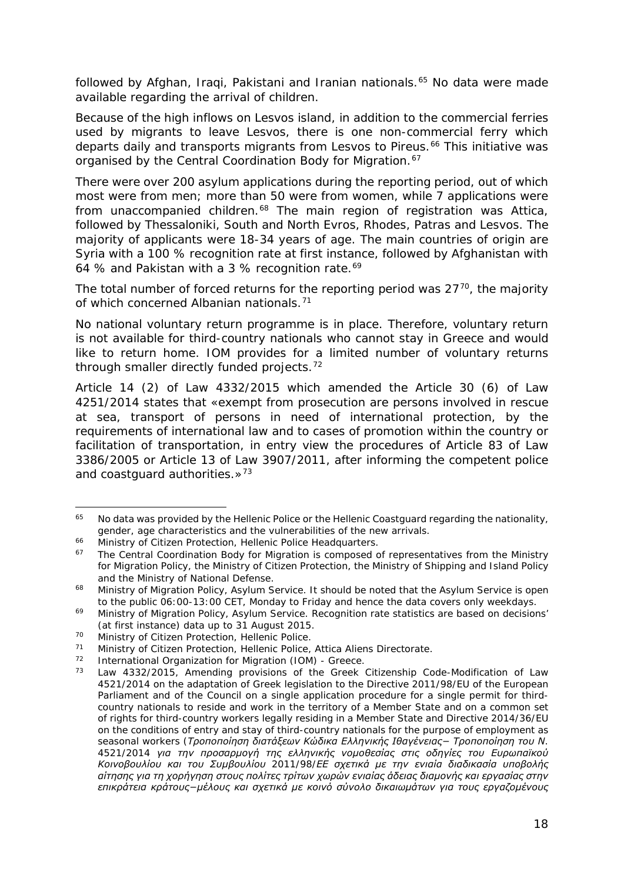<span id="page-17-2"></span>followed by Afghan, Iraqi, Pakistani and Iranian nationals.<sup>[65](#page-17-0)</sup> No data were made available regarding the arrival of children.

Because of the high inflows on Lesvos island, in addition to the commercial ferries used by migrants to leave Lesvos, there is one non-commercial ferry which departs daily and transports migrants from Lesvos to Pireus.<sup>[66](#page-17-1)</sup> This initiative was organised by the Central Coordination Body for Migration.<sup>[67](#page-17-2)</sup>

There were over 200 asylum applications during the reporting period, out of which most were from men; more than 50 were from women, while 7 applications were from unaccompanied children.<sup>[68](#page-17-3)</sup> The main region of registration was Attica, followed by Thessaloniki, South and North Evros, Rhodes, Patras and Lesvos. The majority of applicants were 18-34 years of age. The main countries of origin are Syria with a 100 % recognition rate at first instance, followed by Afghanistan with 64 % and Pakistan with a 3 % recognition rate.<sup>[69](#page-17-2)</sup>

The total number of forced returns for the reporting period was  $27<sup>70</sup>$ , the majority of which concerned Albanian nationals.<sup>[71](#page-17-2)</sup>

No national voluntary return programme is in place. Therefore, voluntary return is not available for third-country nationals who cannot stay in Greece and would like to return home. IOM provides for a limited number of voluntary returns through smaller directly funded projects.<sup>[72](#page-17-5)</sup>

Article 14 (2) of Law 4332/2015 which amended the Article 30 (6) of Law 4251/2014 states that «*exempt from prosecution are persons involved in rescue at sea, transport of persons in need of international protection, by the requirements of international law and to cases of promotion within the country or facilitation of transportation, in entry view the procedures of Article 83 of Law 3386/2005 or Article 13 of Law 3907/2011, after informing the competent police and coastguard authorities.*»[73](#page-17-6)

<span id="page-17-0"></span>No data was provided by the Hellenic Police or the Hellenic Coastguard regarding the nationality, gender, age characteristics and the vulnerabilities of the new arrivals. 65

<span id="page-17-1"></span><sup>&</sup>lt;sup>66</sup> Ministry of Citizen Protection, Hellenic Police Headquarters.<br><sup>67</sup> The Control Coordination Body for Migration is composed o

The Central Coordination Body for Migration is composed of representatives from the Ministry for Migration Policy, the Ministry of Citizen Protection, the Ministry of Shipping and Island Policy and the Ministry of National Defense.

<span id="page-17-3"></span><sup>&</sup>lt;sup>68</sup> Ministry of Migration Policy, Asylum Service. It should be noted that the Asylum Service is open to the public 06:00-13:00 CET, Monday to Friday and hence the data covers only weekdays.<br>69 Ministry of Migration Policy, Asylum Service. Recognition rate statistics are based on decisions'

<sup>(</sup>at first instance) data up to 31 August 2015.

<span id="page-17-4"></span><sup>70</sup> Ministry of Citizen Protection, Hellenic Police.<br>71 Ministry of Citizen Protection, Hellenic Police.

<sup>&</sup>lt;sup>71</sup> Ministry of Citizen Protection, Hellenic Police, Attica Aliens Directorate.<br><sup>72</sup> International Organization for Migration (JOM) Creece

<span id="page-17-6"></span><span id="page-17-5"></span><sup>72</sup> International Organization for Migration (IOM) - Greece.<br> $\frac{73}{2}$  Law 4222/2015, Amonding provisions of the Crook

Law 4332/2015, Amending provisions of the Greek Citizenship Code-Modification of Law 4521/2014 on the adaptation of Greek legislation to the Directive 2011/98/EU of the European Parliament and of the Council on a single application procedure for a single permit for thirdcountry nationals to reside and work in the territory of a Member State and on a common set of rights for third-country workers legally residing in a Member State and Directive 2014/36/EU on the conditions of entry and stay of third-country nationals for the purpose of employment as seasonal workers *(Τροποποίηση διατάξεων Κώδικα Ελληνικής Ιθαγένειας− Τροποποίηση του Ν. 4521/2014 για την προσαρμογή της ελληνικής νομοθεσίας στις οδηγίες του Ευρωπαϊκού Κοινοβουλίου και του Συμβουλίου 2011/98/ΕΕ σχετικά με την ενιαία διαδικασία υποβολής αίτησης για τη χορήγηση στους πολίτες τρίτων χωρών ενιαίας άδειας διαμονής και εργασίας στην επικράτεια κράτους−μέλους και σχετικά με κοινό σύνολο δικαιωμάτων για τους εργαζομένους*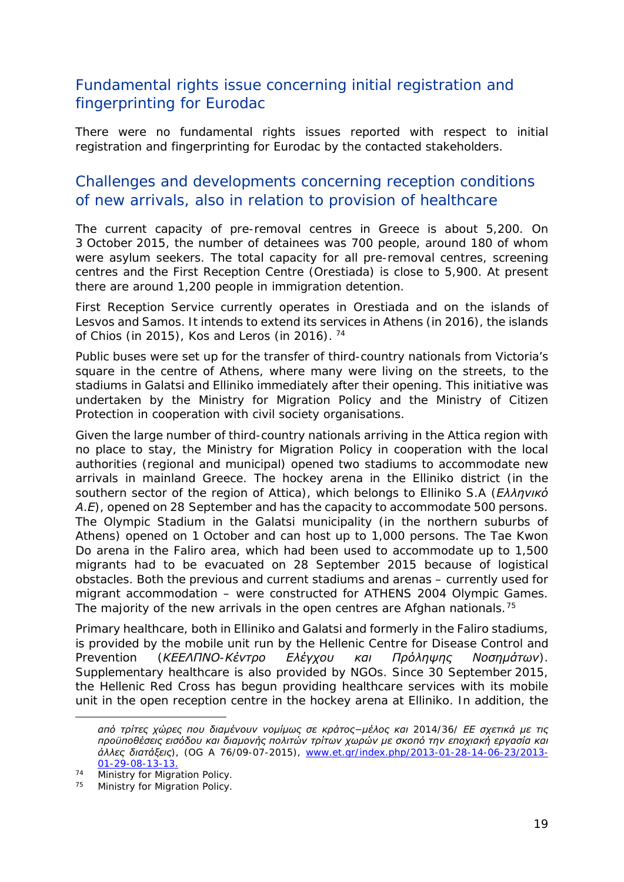#### Fundamental rights issue concerning initial registration and fingerprinting for Eurodac

There were no fundamental rights issues reported with respect to initial registration and fingerprinting for Eurodac by the contacted stakeholders.

#### Challenges and developments concerning reception conditions of new arrivals, also in relation to provision of healthcare

The current capacity of pre-removal centres in Greece is about 5,200. On 3 October 2015, the number of detainees was 700 people, around 180 of whom were asylum seekers. The total capacity for all pre-removal centres, screening centres and the First Reception Centre (Orestiada) is close to 5,900. At present there are around 1,200 people in immigration detention.

First Reception Service currently operates in Orestiada and on the islands of Lesvos and Samos. It intends to extend its services in Athens (in 2016), the islands of Chios (in 2015), Kos and Leros (in 2016). [74](#page-18-0)

Public buses were set up for the transfer of third-country nationals from Victoria's square in the centre of Athens, where many were living on the streets, to the stadiums in Galatsi and Elliniko immediately after their opening. This initiative was undertaken by the Ministry for Migration Policy and the Ministry of Citizen Protection in cooperation with civil society organisations.

Given the large number of third-country nationals arriving in the Attica region with no place to stay, the Ministry for Migration Policy in cooperation with the local authorities (regional and municipal) opened two stadiums to accommodate new arrivals in mainland Greece. The hockey arena in the Elliniko district (in the southern sector of the region of Attica), which belongs to Elliniko S.A *(Ελληνικό Α.Ε)*, opened on 28 September and has the capacity to accommodate 500 persons. The Olympic Stadium in the Galatsi municipality (in the northern suburbs of Athens) opened on 1 October and can host up to 1,000 persons. The Tae Kwon Do arena in the Faliro area, which had been used to accommodate up to 1,500 migrants had to be evacuated on 28 September 2015 because of logistical obstacles. Both the previous and current stadiums and arenas – currently used for migrant accommodation – were constructed for ATHENS 2004 Olympic Games. The majority of the new arrivals in the open centres are Afghan nationals.<sup>[75](#page-18-1)</sup>

Primary healthcare, both in Elliniko and Galatsi and formerly in the Faliro stadiums, is provided by the mobile unit run by the Hellenic Centre for Disease Control and Prevention *(ΚΕΕΛΠΝΟ-Κέντρο Ελέγχου και Πρόληψης Νοσημάτων)*. Supplementary healthcare is also provided by NGOs. Since 30 September 2015, the Hellenic Red Cross has begun providing healthcare services with its mobile unit in the open reception centre in the hockey arena at Elliniko. In addition, the

-

*από τρίτες χώρες που διαμένουν νομίμως σε κράτος−μέλος και 2014/36/ ΕΕ σχετικά με τις προϋποθέσεις εισόδου και διαμονής πολιτών τρίτων χωρών με σκοπό την εποχιακή εργασία και άλλες διατάξεις),* (OG Α 76/09-07-2015), [www.et.gr/index.php/2013-01-28-14-06-23/2013-](http://www.et.gr/index.php/2013-01-28-14-06-23/2013-01-29-08-13-13) [01-29-08-13-13.](http://www.et.gr/index.php/2013-01-28-14-06-23/2013-01-29-08-13-13)<br>Ministry for Migration Policy.

<span id="page-18-1"></span><span id="page-18-0"></span><sup>&</sup>lt;sup>74</sup> Ministry for Migration Policy.<br><sup>75</sup> Ministry for Migration Policy.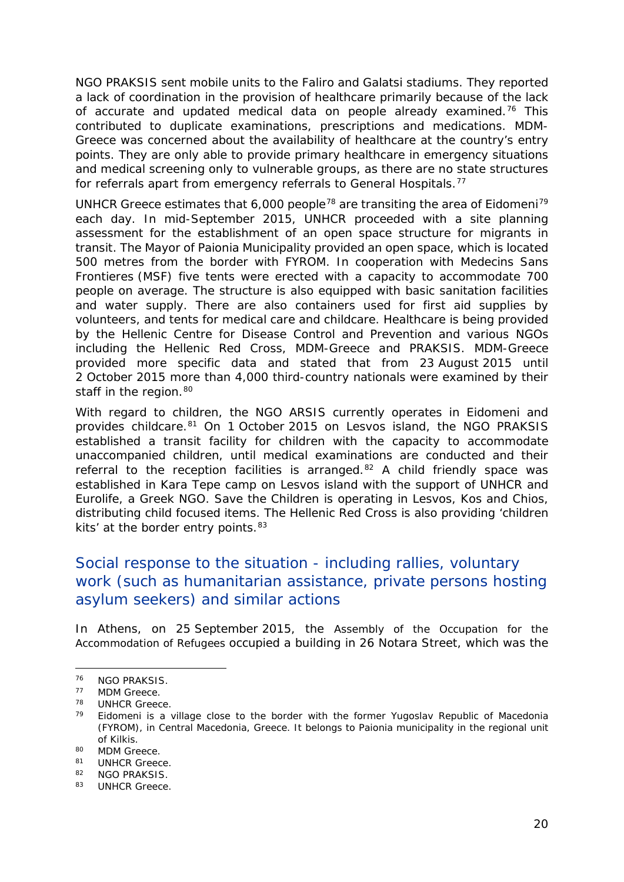<span id="page-19-3"></span>NGO PRAKSIS sent mobile units to the Faliro and Galatsi stadiums. They reported a lack of coordination in the provision of healthcare primarily because of the lack of accurate and updated medical data on people already examined.<sup>[76](#page-19-0)</sup> This contributed to duplicate examinations, prescriptions and medications. MDM-Greece was concerned about the availability of healthcare at the country's entry points. They are only able to provide primary healthcare in emergency situations and medical screening only to vulnerable groups, as there are no state structures for referrals apart from emergency referrals to General Hospitals.<sup>[77](#page-19-1)</sup>

UNHCR Greece estimates that 6,000 people<sup>[78](#page-19-2)</sup> are transiting the area of Eidomeni<sup>[79](#page-19-3)</sup> each day. In mid-September 2015, UNHCR proceeded with a site planning assessment for the establishment of an open space structure for migrants in transit. The Mayor of Paionia Municipality provided an open space, which is located 500 metres from the border with FYROM. In cooperation with Medecins Sans Frontieres (MSF) five tents were erected with a capacity to accommodate 700 people on average. The structure is also equipped with basic sanitation facilities and water supply. There are also containers used for first aid supplies by volunteers, and tents for medical care and childcare. Healthcare is being provided by the Hellenic Centre for Disease Control and Prevention and various NGOs including the Hellenic Red Cross, MDM-Greece and PRAKSIS. MDM-Greece provided more specific data and stated that from 23 August 2015 until 2 October 2015 more than 4,000 third-country nationals were examined by their staff in the region. [80](#page-19-3)

With regard to children, the NGO ARSIS currently operates in Eidomeni and provides childcare.<sup>[81](#page-19-4)</sup> On 1 October 2015 on Lesvos island, the NGO PRAKSIS established a transit facility for children with the capacity to accommodate unaccompanied children, until medical examinations are conducted and their referral to the reception facilities is arranged.<sup>[82](#page-19-3)</sup> A child friendly space was established in Kara Tepe camp on Lesvos island with the support of UNHCR and Eurolife, a Greek NGO. Save the Children is operating in Lesvos, Kos and Chios, distributing child focused items. The Hellenic Red Cross is also providing 'children kits' at the border entry points. [83](#page-19-3)

#### Social response to the situation - including rallies, voluntary work (such as humanitarian assistance, private persons hosting asylum seekers) and similar actions

In Athens, on 25 September 2015, the Assembly of the Occupation for the Accommodation of Refugees occupied a building in 26 Notara Street, which was the

j.

<span id="page-19-0"></span><sup>&</sup>lt;sup>76</sup> NGO PRAKSIS.

<span id="page-19-1"></span><sup>&</sup>lt;sup>77</sup> MDM Greece.

<span id="page-19-2"></span> $^{78}$  UNHCR Greece.<br> $^{79}$  Eidomeni is a v

Eidomeni is a village close to the border with the former Yugoslav Republic of Macedonia (FYROM), in Central Macedonia, Greece. It belongs to Paionia municipality in the regional unit of Kilkis.

<sup>80</sup> MDM Greece.<br>81 UNHCP Greec

UNHCR Greece.

<span id="page-19-4"></span><sup>82</sup> NGO PRAKSIS.

<sup>83</sup> UNHCR Greece.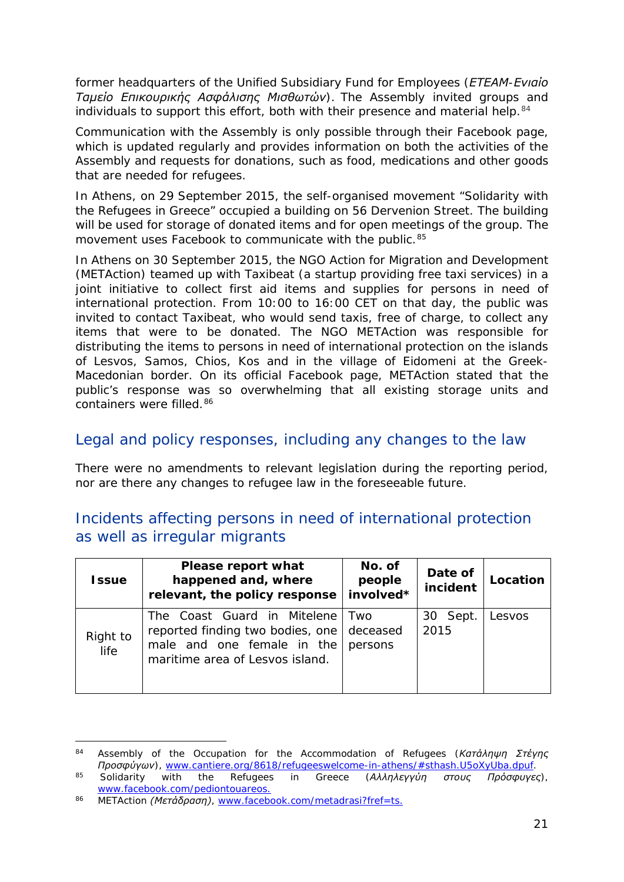former headquarters of the Unified Subsidiary Fund for Employees *(ΕΤΕΑΜ-Ενιαίο Ταμείο Επικουρικής Ασφάλισης Μισθωτών)*. The Assembly invited groups and individuals to support this effort, both with their presence and material help.<sup>[84](#page-20-0)</sup>

Communication with the Assembly is only possible through their Facebook page, which is updated regularly and provides information on both the activities of the Assembly and requests for donations, such as food, medications and other goods that are needed for refugees.

In Athens, on 29 September 2015, the self-organised movement "Solidarity with the Refugees in Greece" occupied a building on 56 Dervenion Street. The building will be used for storage of donated items and for open meetings of the group. The movement uses Facebook to communicate with the public.<sup>[85](#page-20-1)</sup>

In Athens on 30 September 2015, the NGO Action for Migration and Development (METAction) teamed up with Taxibeat (a startup providing free taxi services) in a joint initiative to collect first aid items and supplies for persons in need of international protection. From 10:00 to 16:00 CET on that day, the public was invited to contact Taxibeat, who would send taxis, free of charge, to collect any items that were to be donated. The NGO METAction was responsible for distributing the items to persons in need of international protection on the islands of Lesvos, Samos, Chios, Kos and in the village of Eidomeni at the Greek-Macedonian border. On its official Facebook page, METAction stated that the public's response was so overwhelming that all existing storage units and containers were filled.[86](#page-20-2) 

#### Legal and policy responses, including any changes to the law

There were no amendments to relevant legislation during the reporting period, nor are there any changes to refugee law in the foreseeable future.

#### Incidents affecting persons in need of international protection as well as irregular migrants

| <b>Issue</b>     | Please report what<br>happened and, where<br>relevant, the policy response                                                       | No. of<br>people<br>involved* | Date of<br>incident | Location |
|------------------|----------------------------------------------------------------------------------------------------------------------------------|-------------------------------|---------------------|----------|
| Right to<br>life | The Coast Guard in Mitelene<br>reported finding two bodies, one<br>male and one female in the<br>maritime area of Lesvos island. | Two<br>deceased<br>persons    | 30 Sept.<br>2015    | Lesvos   |

<span id="page-20-0"></span><sup>84</sup> Assembly of the Occupation for the Accommodation of Refugees *(Κατάληψη Στέγης Προσφύγων)*, [www.cantiere.org/8618/refugeeswelcome-in-athens/#sthash.U5oXyUba.dpuf.](http://www.cantiere.org/8618/refugeeswelcome-in-athens/%23sthash.U5oXyUba.dpuf) -

<span id="page-20-1"></span><sup>85</sup> Solidarity with the Refugees in Greece *(Αλληλεγγύη στους Πρόσφυγες)*, [www.facebook.com/pediontouareos.](https://www.facebook.com/pediontouareos)

<span id="page-20-2"></span><sup>86</sup> METAction *(Μετάδραση)*, [www.facebook.com/metadrasi?fref=ts.](https://www.facebook.com/metadrasi?fref=ts)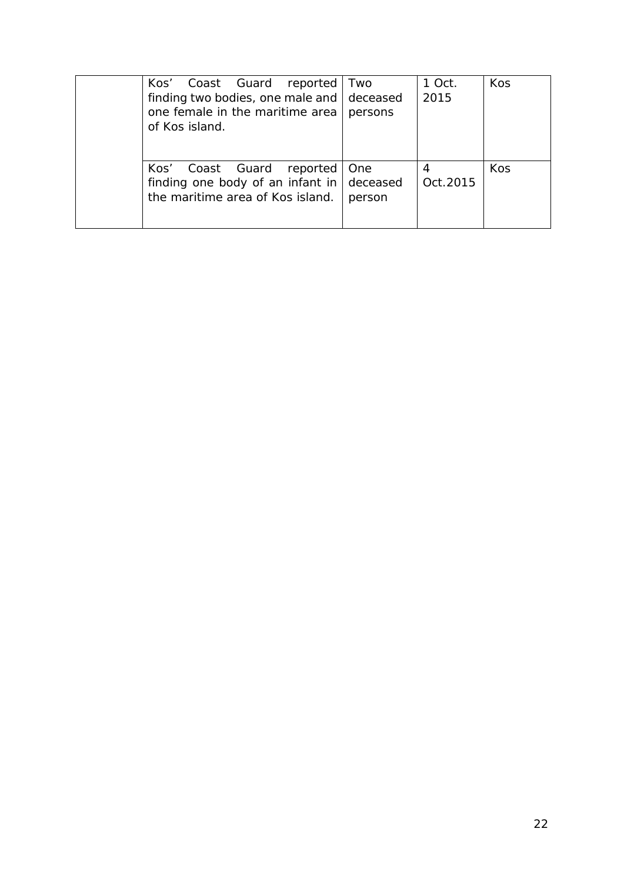| Kos' Coast Guard reported<br>finding two bodies, one male and deceased<br>one female in the maritime area  <br>of Kos island. | Two<br>persons | 1 Oct.<br>2015 | Kos        |
|-------------------------------------------------------------------------------------------------------------------------------|----------------|----------------|------------|
| Coast Guard reported<br>Kos'<br>finding one body of an infant in $\vert$ deceased<br>the maritime area of Kos island.         | One<br>person  | Oct. 2015      | <b>Kos</b> |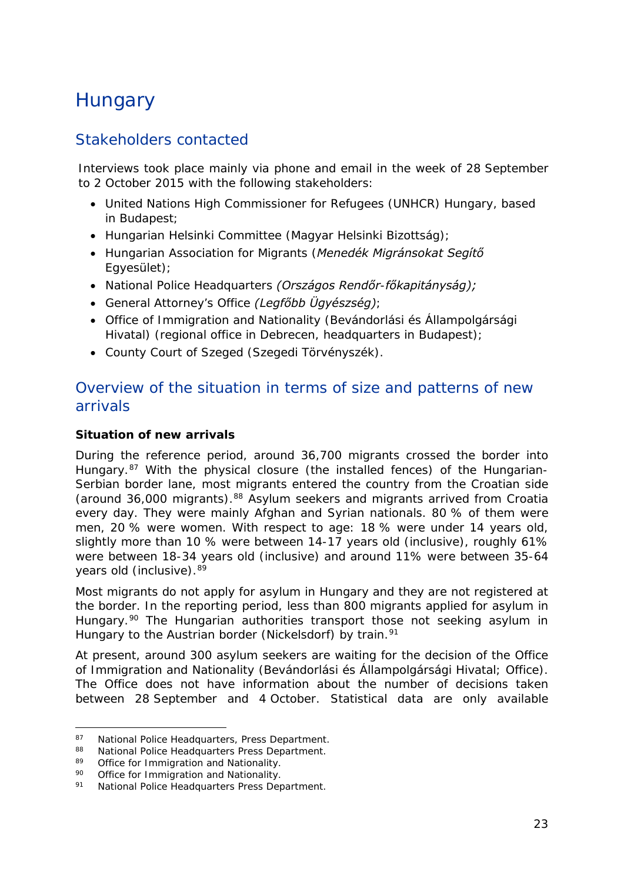# <span id="page-22-0"></span>**Hungary**

#### Stakeholders contacted

Interviews took place mainly via phone and email in the week of 28 September to 2 October 2015 with the following stakeholders:

- United Nations High Commissioner for Refugees (UNHCR) Hungary, based in Budapest;
- Hungarian Helsinki Committee (*Magyar Helsinki Bizottság)*;
- Hungarian Association for Migrants (*Menedék Migránsokat Segítő Egyesület)*;
- National Police Headquarters *(Országos Rendőr-főkapitányság);*
- General Attorney's Office *(Legfőbb Ügyészség)*;
- Office of Immigration and Nationality (*Bevándorlási és Állampolgársági Hivatal)* (regional office in Debrecen, headquarters in Budapest);
- County Court of Szeged (*Szegedi Törvényszék).*

#### Overview of the situation in terms of size and patterns of new arrivals

#### **Situation of new arrivals**

During the reference period, around 36,700 migrants crossed the border into Hungary.<sup>[87](#page-22-1)</sup> With the physical closure (the installed fences) of the Hungarian-Serbian border lane, most migrants entered the country from the Croatian side (around 36,000 migrants).[88](#page-22-2) Asylum seekers and migrants arrived from Croatia every day. They were mainly Afghan and Syrian nationals. 80 % of them were men, 20 % were women. With respect to age: 18 % were under 14 years old, slightly more than 10 % were between 14-17 years old (inclusive), roughly 61% were between 18-34 years old (inclusive) and around 11% were between 35-64 years old (inclusive).[89](#page-22-3)

Most migrants do not apply for asylum in Hungary and they are not registered at the border. In the reporting period, less than 800 migrants applied for asylum in Hungary.<sup>[90](#page-22-4)</sup> The Hungarian authorities transport those not seeking asylum in Hungary to the Austrian border (Nickelsdorf) by train.<sup>[91](#page-22-5)</sup>

At present, around 300 asylum seekers are waiting for the decision of the Office of Immigration and Nationality (*Bevándorlási és Állampolgársági Hivatal;* Office). The Office does not have information about the number of decisions taken between 28 September and 4 October. Statistical data are only available

<span id="page-22-1"></span><sup>87</sup> National Police Headquarters, Press Department.<br>88 National Police Headquarters Press Department 87

<span id="page-22-2"></span><sup>88</sup> National Police Headquarters Press Department.<br>89 Office for Immigration and Nationality.

<span id="page-22-3"></span> $89$  Office for Immigration and Nationality.<br> $90$  Office for Immigration and Nationality.

<span id="page-22-5"></span><span id="page-22-4"></span><sup>90</sup> Office for Immigration and Nationality.<br>91 Mational Police Headquarters Press Der

National Police Headquarters Press Department.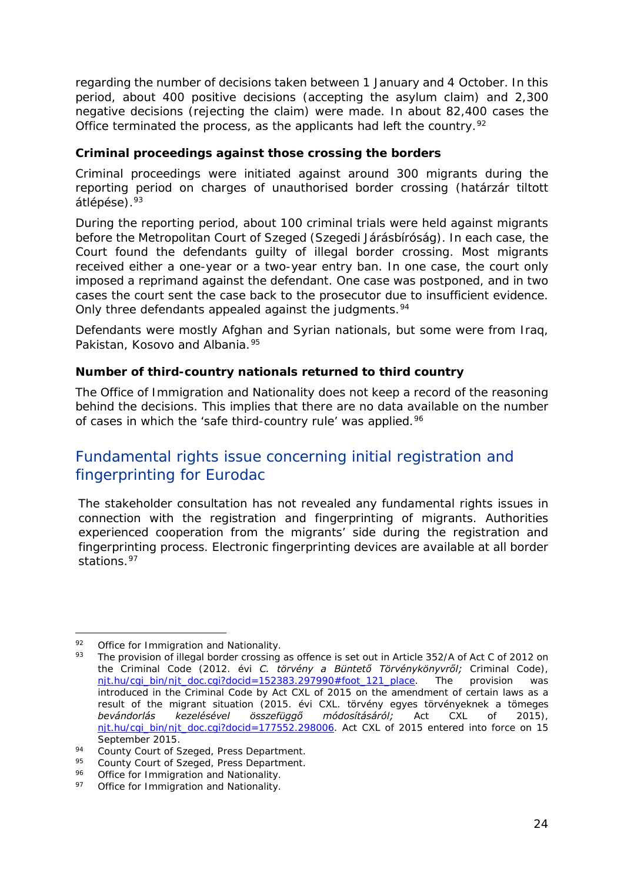regarding the number of decisions taken between 1 January and 4 October. In this period, about 400 positive decisions (accepting the asylum claim) and 2,300 negative decisions (rejecting the claim) were made. In about 82,400 cases the Office terminated the process, as the applicants had left the country.<sup>[92](#page-23-0)</sup>

#### **Criminal proceedings against those crossing the borders**

Criminal proceedings were initiated against around 300 migrants during the reporting period on charges of unauthorised border crossing (*határzár tiltott átlépése*).[93](#page-23-1)

During the reporting period, about 100 criminal trials were held against migrants before the Metropolitan Court of Szeged (*Szegedi Járásbíróság)*. In each case, the Court found the defendants guilty of illegal border crossing. Most migrants received either a one-year or a two-year entry ban. In one case, the court only imposed a reprimand against the defendant. One case was postponed, and in two cases the court sent the case back to the prosecutor due to insufficient evidence. Only three defendants appealed against the judgments.<sup>[94](#page-23-2)</sup>

Defendants were mostly Afghan and Syrian nationals, but some were from Iraq, Pakistan, Kosovo and Albania.<sup>[95](#page-23-3)</sup>

#### **Number of third-country nationals returned to third country**

The Office of Immigration and Nationality does not keep a record of the reasoning behind the decisions. This implies that there are no data available on the number of cases in which the 'safe third-country rule' was applied.<sup>[96](#page-23-4)</sup>

#### Fundamental rights issue concerning initial registration and fingerprinting for Eurodac

The stakeholder consultation has not revealed any fundamental rights issues in connection with the registration and fingerprinting of migrants. Authorities experienced cooperation from the migrants' side during the registration and fingerprinting process. Electronic fingerprinting devices are available at all border stations.<sup>[97](#page-23-5)</sup>

<sup>92</sup> Office for Immigration and Nationality. j.

<span id="page-23-1"></span><span id="page-23-0"></span><sup>93</sup> The provision of illegal border crossing as offence is set out in Article 352/A of Act C of 2012 on the Criminal Code (*2012. évi C. törvény a Büntető Törvénykönyvről;* Criminal Code), [njt.hu/cgi\\_bin/njt\\_doc.cgi?docid=152383.297990#foot\\_121\\_place.](http://njt.hu/cgi_bin/njt_doc.cgi?docid=152383.297990%23foot_121_place) The provision was introduced in the Criminal Code by Act CXL of 2015 on the amendment of certain laws as a result of the migrant situation (*2015. évi CXL. törvény egyes törvényeknek a tömeges bevándorlás kezelésével összefüggő módosításáról;* Act CXL of 2015), [njt.hu/cgi\\_bin/njt\\_doc.cgi?docid=177552.298006.](http://njt.hu/cgi_bin/njt_doc.cgi?docid=177552.298006) Act CXL of 2015 entered into force on 15

September 2015.<br>
<sup>94</sup> County Court of Szeged, Press Department.<br>
<sup>95</sup> County Court of Szeged, Press Department.

<span id="page-23-3"></span><span id="page-23-2"></span><sup>95</sup> County Court of Szeged, Press Department.<br>96 Office for Immigration and Nationality

<span id="page-23-5"></span><span id="page-23-4"></span> $\frac{96}{97}$  Office for Immigration and Nationality.<br> $\frac{97}{97}$  Office for Immigration and Nationality.

Office for Immigration and Nationality.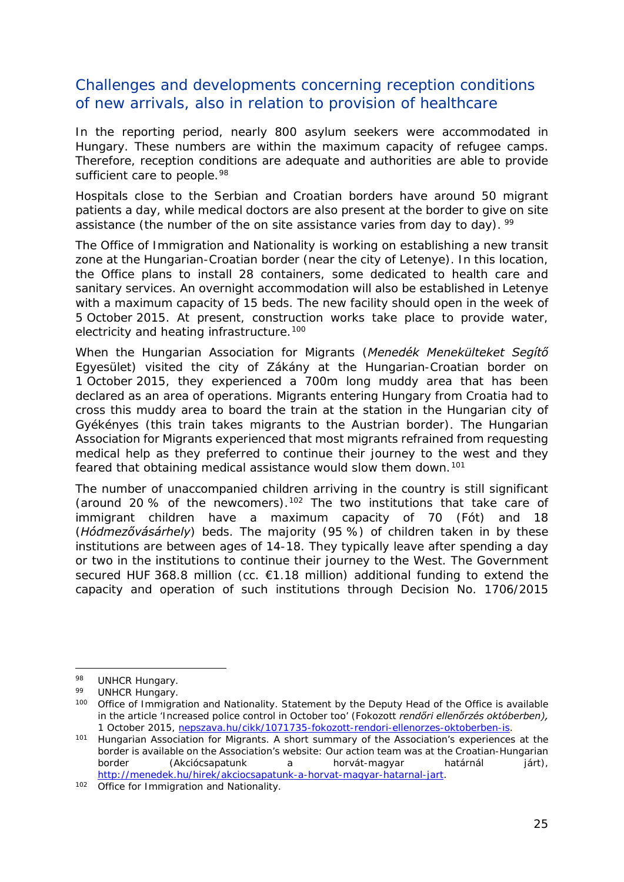#### Challenges and developments concerning reception conditions of new arrivals, also in relation to provision of healthcare

In the reporting period, nearly 800 asylum seekers were accommodated in Hungary. These numbers are within the maximum capacity of refugee camps. Therefore, reception conditions are adequate and authorities are able to provide sufficient care to people.<sup>[98](#page-24-0)</sup>

Hospitals close to the Serbian and Croatian borders have around 50 migrant patients a day, while medical doctors are also present at the border to give on site assistance (the number of the on site assistance varies from day to day). <sup>[99](#page-24-1)</sup>

The Office of Immigration and Nationality is working on establishing a new transit zone at the Hungarian-Croatian border (near the city of Letenye). In this location, the Office plans to install 28 containers, some dedicated to health care and sanitary services. An overnight accommodation will also be established in Letenye with a maximum capacity of 15 beds. The new facility should open in the week of 5 October 2015. At present, construction works take place to provide water, electricity and heating infrastructure.<sup>[100](#page-24-2)</sup>

When the Hungarian Association for Migrants (*Menedék Menekülteket Segítő Egyesület*) visited the city of Zákány at the Hungarian-Croatian border on 1 October 2015, they experienced a 700m long muddy area that has been declared as an area of operations. Migrants entering Hungary from Croatia had to cross this muddy area to board the train at the station in the Hungarian city of Gyékényes (this train takes migrants to the Austrian border). The Hungarian Association for Migrants experienced that most migrants refrained from requesting medical help as they preferred to continue their journey to the west and they feared that obtaining medical assistance would slow them down.<sup>[101](#page-24-3)</sup>

The number of unaccompanied children arriving in the country is still significant (around 20 % of the newcomers).<sup>[102](#page-24-4)</sup> The two institutions that take care of immigrant children have a maximum capacity of 70 (*Fót*) and 18 (*Hódmezővásárhely*) beds. The majority (95 %) of children taken in by these institutions are between ages of 14-18. They typically leave after spending a day or two in the institutions to continue their journey to the West. The Government secured HUF 368.8 million (cc. €1.18 million) additional funding to extend the capacity and operation of such institutions through Decision No. 1706/2015

j,

<span id="page-24-0"></span><sup>98</sup> UNHCR Hungary.

<span id="page-24-1"></span><sup>99</sup> UNHCR Hungary.

<span id="page-24-2"></span><sup>100</sup> Office of Immigration and Nationality. Statement by the Deputy Head of the Office is available in the article 'Increased police control in October too' (*Fokozott rendőri ellenőrzés októberben),*  1 October 2015, [nepszava.hu/cikk/1071735-fokozott-rendori-ellenorzes-oktoberben-is.](http://nepszava.hu/cikk/1071735-fokozott-rendori-ellenorzes-oktoberben-is)

<span id="page-24-3"></span><sup>&</sup>lt;sup>101</sup> Hungarian Association for Migrants. A short summary of the Association's experiences at the border is available on the Association's website: Our action team was at the Croatian-Hungarian border (*Akciócsapatunk a horvát-magyar határnál járt)*, [http://menedek.hu/hirek/akciocsapatunk-a-horvat-magyar-hatarnal-jart.](http://menedek.hu/hirek/akciocsapatunk-a-horvat-magyar-hatarnal-jart)

<span id="page-24-4"></span><sup>102</sup> Office for Immigration and Nationality.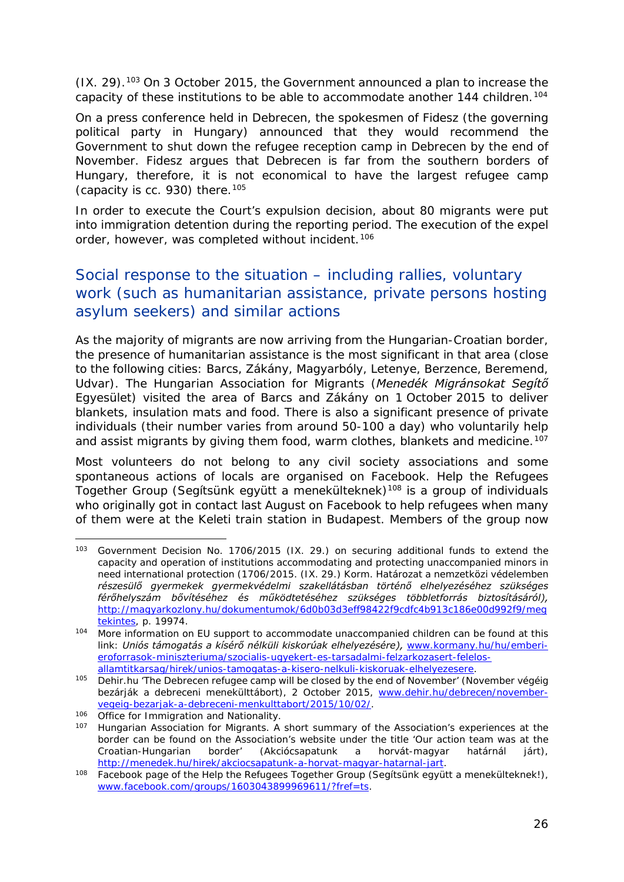(IX. 29)[.103](#page-25-0) On 3 October 2015, the Government announced a plan to increase the capacity of these institutions to be able to accommodate another 144 children.<sup>[104](#page-25-1)</sup>

On a press conference held in Debrecen, the spokesmen of Fidesz (the governing political party in Hungary) announced that they would recommend the Government to shut down the refugee reception camp in Debrecen by the end of November. Fidesz argues that Debrecen is far from the southern borders of Hungary, therefore, it is not economical to have the largest refugee camp (capacity is cc. 930) there.  $105$ 

In order to execute the Court's expulsion decision, about 80 migrants were put into immigration detention during the reporting period. The execution of the expel order, however, was completed without incident.<sup>[106](#page-25-3)</sup>

### Social response to the situation – including rallies, voluntary work (such as humanitarian assistance, private persons hosting asylum seekers) and similar actions

As the majority of migrants are now arriving from the Hungarian-Croatian border, the presence of humanitarian assistance is the most significant in that area (close to the following cities: Barcs, Zákány, Magyarbóly, Letenye, Berzence, Beremend, Udvar). The Hungarian Association for Migrants (*Menedék Migránsokat Segítő Egyesület*) visited the area of Barcs and Zákány on 1 October 2015 to deliver blankets, insulation mats and food. There is also a significant presence of private individuals (their number varies from around 50-100 a day) who voluntarily help and assist migrants by giving them food, warm clothes, blankets and medicine.<sup>[107](#page-25-4)</sup>

Most volunteers do not belong to any civil society associations and some spontaneous actions of locals are organised on Facebook. Help the Refugees Together Group (*Segítsünk együtt a menekülteknek)*[108](#page-25-5) is a group of individuals who originally got in contact last August on Facebook to help refugees when many of them were at the Keleti train station in Budapest. Members of the group now

<span id="page-25-0"></span><sup>103</sup> Government Decision No. 1706/2015 (IX. 29.) on securing additional funds to extend the capacity and operation of institutions accommodating and protecting unaccompanied minors in need international protection (*1706/2015. (IX. 29.) Korm. Határozat a nemzetközi védelemben részesülő gyermekek gyermekvédelmi szakellátásban történő elhelyezéséhez szükséges férőhelyszám bővítéséhez és működtetéséhez szükséges többletforrás biztosításáról),*  [http://magyarkozlony.hu/dokumentumok/6d0b03d3eff98422f9cdfc4b913c186e00d992f9/meg](http://magyarkozlony.hu/dokumentumok/6d0b03d3eff98422f9cdfc4b913c186e00d992f9/megtekintes) [tekintes,](http://magyarkozlony.hu/dokumentumok/6d0b03d3eff98422f9cdfc4b913c186e00d992f9/megtekintes) p. 19974. -

<span id="page-25-1"></span><sup>104</sup> More information on EU support to accommodate unaccompanied children can be found at this link: *Uniós támogatás a kísérő nélküli kiskorúak elhelyezésére),* [www.kormany.hu/hu/emberi](http://www.kormany.hu/hu/emberi-eroforrasok-miniszteriuma/szocialis-ugyekert-es-tarsadalmi-felzarkozasert-felelos-allamtitkarsag/hirek/unios-tamogatas-a-kisero-nelkuli-kiskoruak-elhelyezesere)[eroforrasok-miniszteriuma/szocialis-ugyekert-es-tarsadalmi-felzarkozasert-felelos](http://www.kormany.hu/hu/emberi-eroforrasok-miniszteriuma/szocialis-ugyekert-es-tarsadalmi-felzarkozasert-felelos-allamtitkarsag/hirek/unios-tamogatas-a-kisero-nelkuli-kiskoruak-elhelyezesere)[allamtitkarsag/hirek/unios-tamogatas-a-kisero-nelkuli-kiskoruak-elhelyezesere.](http://www.kormany.hu/hu/emberi-eroforrasok-miniszteriuma/szocialis-ugyekert-es-tarsadalmi-felzarkozasert-felelos-allamtitkarsag/hirek/unios-tamogatas-a-kisero-nelkuli-kiskoruak-elhelyezesere)

<span id="page-25-2"></span><sup>105</sup> Dehir.hu 'The Debrecen refugee camp will be closed by the end of November' (*November végéig bezárják a debreceni menekülttábort)*, 2 October 2015, [www.dehir.hu/debrecen/november](http://www.dehir.hu/debrecen/november-vegeig-bezarjak-a-debreceni-menkulttabort/2015/10/02/)[vegeig-bezarjak-a-debreceni-menkulttabort/2015/10/02/.](http://www.dehir.hu/debrecen/november-vegeig-bezarjak-a-debreceni-menkulttabort/2015/10/02/)

<span id="page-25-3"></span><sup>106</sup> Office for Immigration and Nationality.

<span id="page-25-4"></span><sup>107</sup> Hungarian Association for Migrants. A short summary of the Association's experiences at the border can be found on the Association's website under the title 'Our action team was at the Croatian-Hungarian border' (*Akciócsapatunk a horvát-magyar határnál járt)*,

<span id="page-25-5"></span><sup>&</sup>lt;sup>108</sup> Facebook page of the Help the Refugees Together Group (*Segítsünk együtt a menekülteknek!*), [www.facebook.com/groups/1603043899969611/?fref=ts.](https://www.facebook.com/groups/1603043899969611/?fref=ts)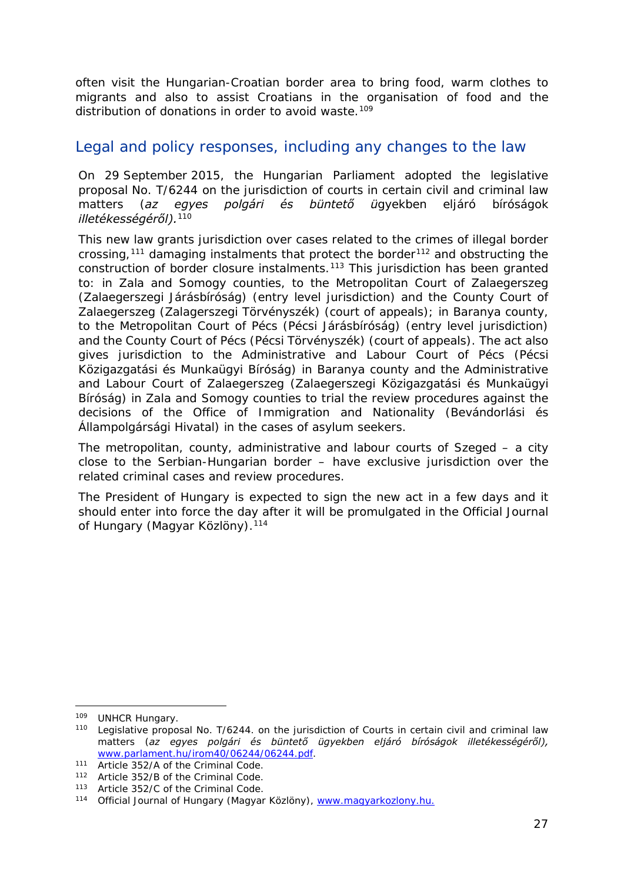<span id="page-26-3"></span>often visit the Hungarian-Croatian border area to bring food, warm clothes to migrants and also to assist Croatians in the organisation of food and the distribution of donations in order to avoid waste.<sup>[109](#page-26-0)</sup>

#### Legal and policy responses, including any changes to the law

On 29 September 2015, the Hungarian Parliament adopted the legislative proposal No. T/6244 on the jurisdiction of courts in certain civil and criminal law matters (*az egyes polgári és büntető ügyekben eljáró bíróságok illetékességéről).*[110](#page-26-1)

This new law grants jurisdiction over cases related to the crimes of illegal border crossing,<sup>[111](#page-26-2)</sup> damaging instalments that protect the border<sup>[112](#page-26-3)</sup> and obstructing the construction of border closure instalments.[113](#page-26-3) This jurisdiction has been granted to: in Zala and Somogy counties, to the Metropolitan Court of Zalaegerszeg (*Zalaegerszegi Járásbíróság*) (entry level jurisdiction) and the County Court of Zalaegerszeg (*Zalagerszegi Törvényszék)* (court of appeals); in Baranya county, to the Metropolitan Court of Pécs (*Pécsi Járásbíróság)* (entry level jurisdiction) and the County Court of Pécs (*Pécsi Törvényszék)* (court of appeals). The act also gives jurisdiction to the Administrative and Labour Court of Pécs (*Pécsi Közigazgatási és Munkaügyi Bíróság*) in Baranya county and the Administrative and Labour Court of Zalaegerszeg (*Zalaegerszegi Közigazgatási és Munkaügyi Bíróság*) in Zala and Somogy counties to trial the review procedures against the decisions of the Office of Immigration and Nationality (*Bevándorlási és Állampolgársági Hivatal*) in the cases of asylum seekers.

The metropolitan, county, administrative and labour courts of Szeged – a city close to the Serbian-Hungarian border – have exclusive jurisdiction over the related criminal cases and review procedures.

The President of Hungary is expected to sign the new act in a few days and it should enter into force the day after it will be promulgated in the Official Journal of Hungary (*Magyar Közlöny).*[114](#page-26-4)

-

<span id="page-26-1"></span><span id="page-26-0"></span><sup>&</sup>lt;sup>109</sup> UNHCR Hungary.<br><sup>110</sup> Legislative proposal No. T/6244. on the jurisdiction of Courts in certain civil and criminal law matters (*az egyes polgári és büntető ügyekben eljáró bíróságok illetékességéről),*  [www.parlament.hu/irom40/06244/06244.pdf.](http://www.parlament.hu/irom40/06244/06244.pdf)

<span id="page-26-2"></span><sup>111</sup> Article 352/A of the Criminal Code.

<sup>112</sup> Article 352/B of the Criminal Code.

<sup>113</sup> Article 352/C of the Criminal Code.

<span id="page-26-4"></span><sup>114</sup> Official Journal of Hungary (*Magyar Közlöny)*, [www.magyarkozlony.hu.](http://magyarkozlony.hu/)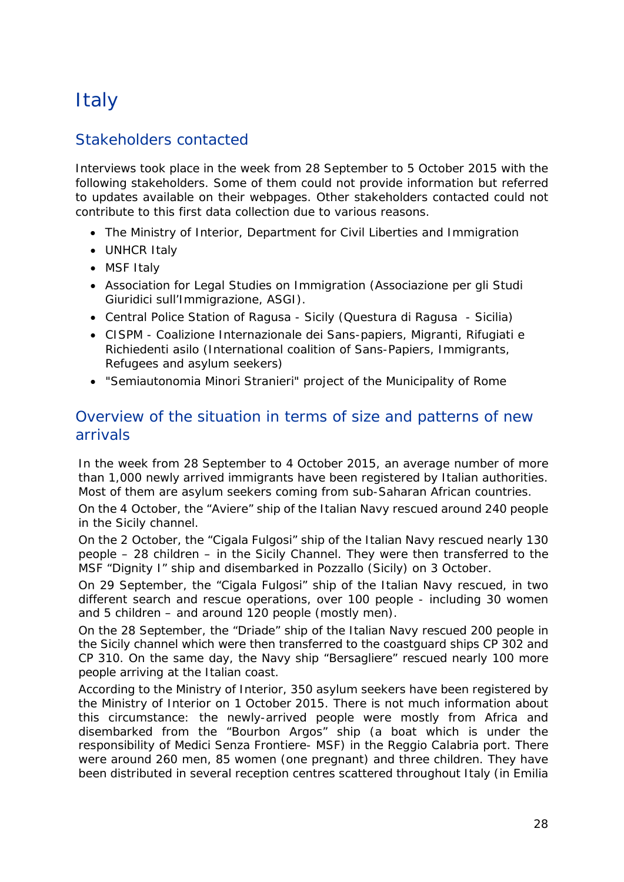# <span id="page-27-0"></span>**Italy**

### Stakeholders contacted

Interviews took place in the week from 28 September to 5 October 2015 with the following stakeholders. Some of them could not provide information but referred to updates available on their webpages. Other stakeholders contacted could not contribute to this first data collection due to various reasons.

- The Ministry of Interior, Department for Civil Liberties and Immigration
- UNHCR Italy
- MSF Italy
- Association for Legal Studies on Immigration (Associazione per gli Studi Giuridici sull'Immigrazione, ASGI).
- Central Police Station of Ragusa Sicily (Questura di Ragusa Sicilia)
- CISPM Coalizione Internazionale dei Sans-papiers, Migranti, Rifugiati e Richiedenti asilo (International coalition of Sans-Papiers, Immigrants, Refugees and asylum seekers)
- "Semiautonomia Minori Stranieri" project of the Municipality of Rome

#### Overview of the situation in terms of size and patterns of new arrivals

In the week from 28 September to 4 October 2015, an average number of more than 1,000 newly arrived immigrants have been registered by Italian authorities. Most of them are asylum seekers coming from sub-Saharan African countries.

On the 4 October, the "Aviere" ship of the Italian Navy rescued around 240 people in the Sicily channel.

On the 2 October, the "Cigala Fulgosi" ship of the Italian Navy rescued nearly 130 people – 28 children – in the Sicily Channel. They were then transferred to the MSF "Dignity I" ship and disembarked in Pozzallo (Sicily) on 3 October.

On 29 September, the "Cigala Fulgosi" ship of the Italian Navy rescued, in two different search and rescue operations, over 100 people - including 30 women and 5 children – and around 120 people (mostly men).

On the 28 September, the "Driade" ship of the Italian Navy rescued 200 people in the Sicily channel which were then transferred to the coastguard ships CP 302 and CP 310. On the same day, the Navy ship "Bersagliere" rescued nearly 100 more people arriving at the Italian coast.

According to the Ministry of Interior, 350 asylum seekers have been registered by the Ministry of Interior on 1 October 2015. There is not much information about this circumstance: the newly-arrived people were mostly from Africa and disembarked from the "Bourbon Argos" ship (a boat which is under the responsibility of Medici Senza Frontiere- MSF) in the Reggio Calabria port. There were around 260 men, 85 women (one pregnant) and three children. They have been distributed in several reception centres scattered throughout Italy (in Emilia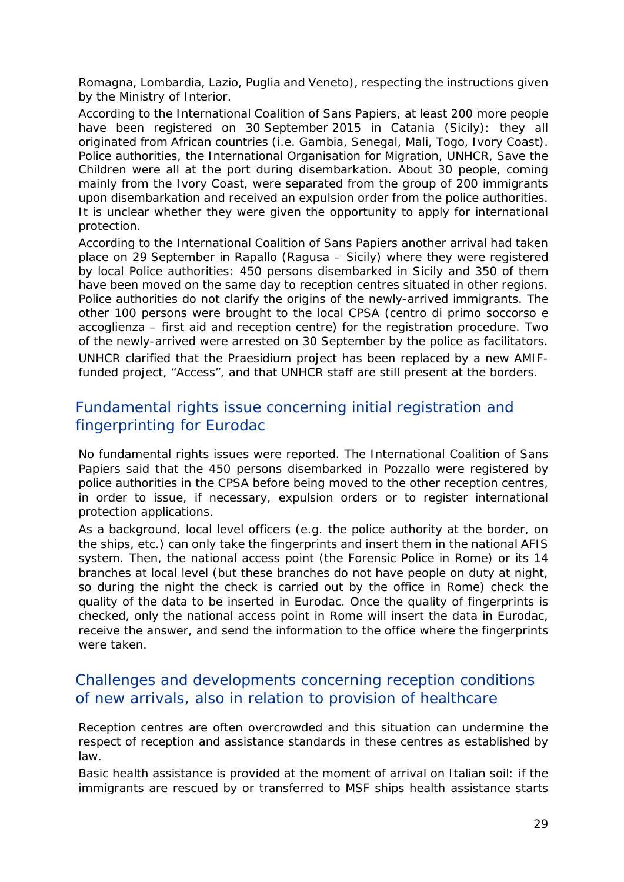Romagna, Lombardia, Lazio, Puglia and Veneto), respecting the instructions given by the Ministry of Interior.

According to the International Coalition of Sans Papiers, at least 200 more people have been registered on 30 September 2015 in Catania (Sicily): they all originated from African countries (i.e. Gambia, Senegal, Mali, Togo, Ivory Coast). Police authorities, the International Organisation for Migration, UNHCR, Save the Children were all at the port during disembarkation. About 30 people, coming mainly from the Ivory Coast, were separated from the group of 200 immigrants upon disembarkation and received an expulsion order from the police authorities. It is unclear whether they were given the opportunity to apply for international protection.

According to the International Coalition of Sans Papiers another arrival had taken place on 29 September in Rapallo (Ragusa – Sicily) where they were registered by local Police authorities: 450 persons disembarked in Sicily and 350 of them have been moved on the same day to reception centres situated in other regions. Police authorities do not clarify the origins of the newly-arrived immigrants. The other 100 persons were brought to the local CPSA (*centro di primo soccorso e accoglienza* – first aid and reception centre) for the registration procedure. Two of the newly-arrived were arrested on 30 September by the police as facilitators. UNHCR clarified that the Praesidium project has been replaced by a new AMIFfunded project, "Access", and that UNHCR staff are still present at the borders.

#### Fundamental rights issue concerning initial registration and fingerprinting for Eurodac

No fundamental rights issues were reported. The International Coalition of Sans Papiers said that the 450 persons disembarked in Pozzallo were registered by police authorities in the CPSA before being moved to the other reception centres, in order to issue, if necessary, expulsion orders or to register international protection applications.

As a background, local level officers (e.g. the police authority at the border, on the ships, etc.) can only take the fingerprints and insert them in the national AFIS system. Then, the national access point (the Forensic Police in Rome) or its 14 branches at local level (but these branches do not have people on duty at night, so during the night the check is carried out by the office in Rome) check the quality of the data to be inserted in Eurodac. Once the quality of fingerprints is checked, only the national access point in Rome will insert the data in Eurodac, receive the answer, and send the information to the office where the fingerprints were taken.

#### Challenges and developments concerning reception conditions of new arrivals, also in relation to provision of healthcare

Reception centres are often overcrowded and this situation can undermine the respect of reception and assistance standards in these centres as established by law.

Basic health assistance is provided at the moment of arrival on Italian soil: if the immigrants are rescued by or transferred to MSF ships health assistance starts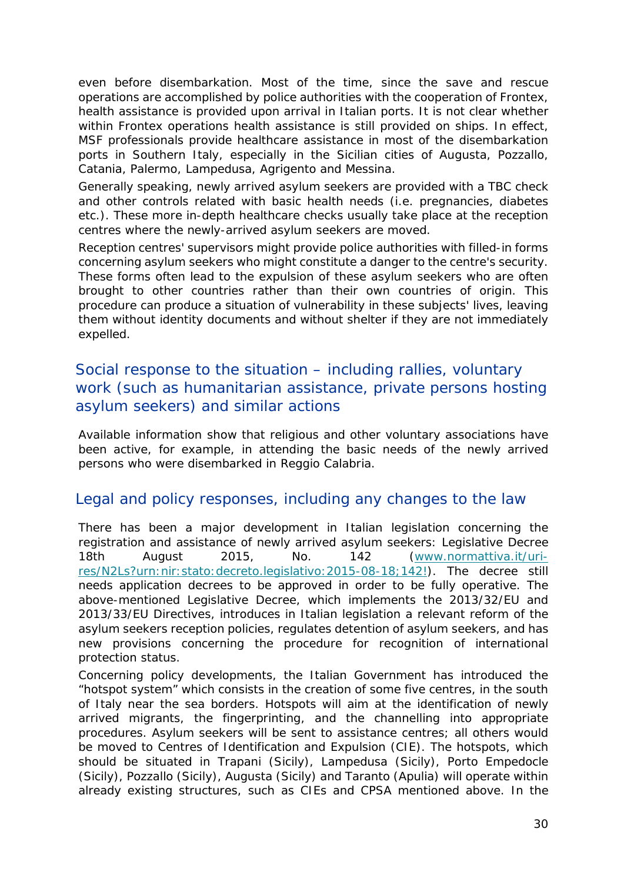even before disembarkation. Most of the time, since the save and rescue operations are accomplished by police authorities with the cooperation of Frontex, health assistance is provided upon arrival in Italian ports. It is not clear whether within Frontex operations health assistance is still provided on ships. In effect, MSF professionals provide healthcare assistance in most of the disembarkation ports in Southern Italy, especially in the Sicilian cities of Augusta, Pozzallo, Catania, Palermo, Lampedusa, Agrigento and Messina.

Generally speaking, newly arrived asylum seekers are provided with a TBC check and other controls related with basic health needs (i.e. pregnancies, diabetes etc.). These more in-depth healthcare checks usually take place at the reception centres where the newly-arrived asylum seekers are moved.

Reception centres' supervisors might provide police authorities with filled-in forms concerning asylum seekers who might constitute a danger to the centre's security. These forms often lead to the expulsion of these asylum seekers who are often brought to other countries rather than their own countries of origin. This procedure can produce a situation of vulnerability in these subjects' lives, leaving them without identity documents and without shelter if they are not immediately expelled.

#### Social response to the situation – including rallies, voluntary work (such as humanitarian assistance, private persons hosting asylum seekers) and similar actions

Available information show that religious and other voluntary associations have been active, for example, in attending the basic needs of the newly arrived persons who were disembarked in Reggio Calabria.

#### Legal and policy responses, including any changes to the law

There has been a major development in Italian legislation concerning the registration and assistance of newly arrived asylum seekers: Legislative Decree 18th August 2015, No. 142 [\(www.normattiva.it/uri](https://mail2.mclink.it/Redirect/www.normattiva.it/uri-res/N2Ls?urn:nir:stato:decreto.legislativo:2015-08-18;142!%23_blank)[res/N2Ls?urn:nir:stato:decreto.legislativo:2015-08-18;142!\)](https://mail2.mclink.it/Redirect/www.normattiva.it/uri-res/N2Ls?urn:nir:stato:decreto.legislativo:2015-08-18;142!%23_blank). The decree still needs application decrees to be approved in order to be fully operative. The above-mentioned Legislative Decree, which implements the 2013/32/EU and 2013/33/EU Directives, introduces in Italian legislation a relevant reform of the asylum seekers reception policies, regulates detention of asylum seekers, and has new provisions concerning the procedure for recognition of international protection status.

Concerning policy developments, the Italian Government has introduced the "hotspot system" which consists in the creation of some five centres, in the south of Italy near the sea borders. Hotspots will aim at the identification of newly arrived migrants, the fingerprinting, and the channelling into appropriate procedures. Asylum seekers will be sent to assistance centres; all others would be moved to Centres of Identification and Expulsion (CIE). The hotspots, which should be situated in Trapani (Sicily), Lampedusa (Sicily), Porto Empedocle (Sicily), Pozzallo (Sicily), Augusta (Sicily) and Taranto (Apulia) will operate within already existing structures, such as CIEs and CPSA mentioned above. In the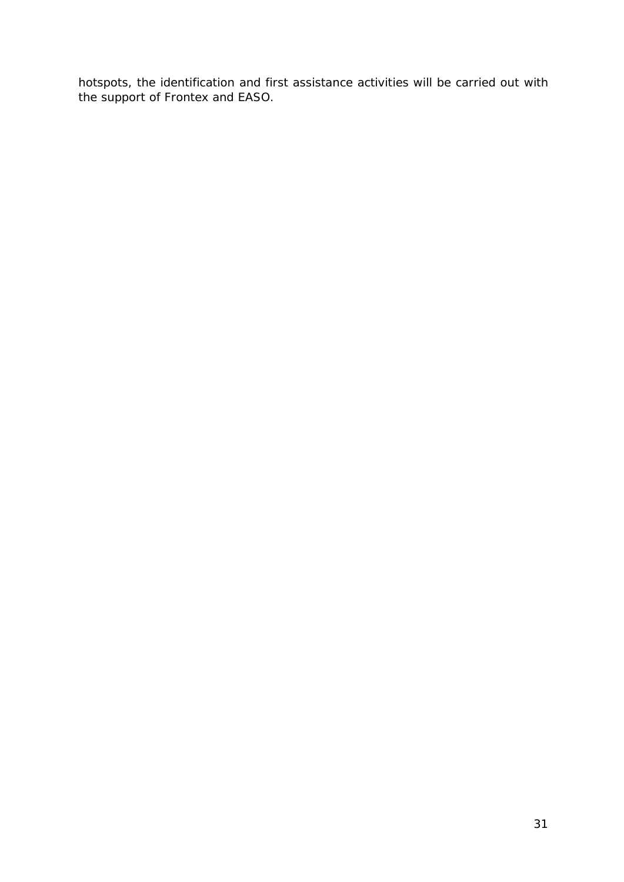hotspots, the identification and first assistance activities will be carried out with the support of Frontex and EASO.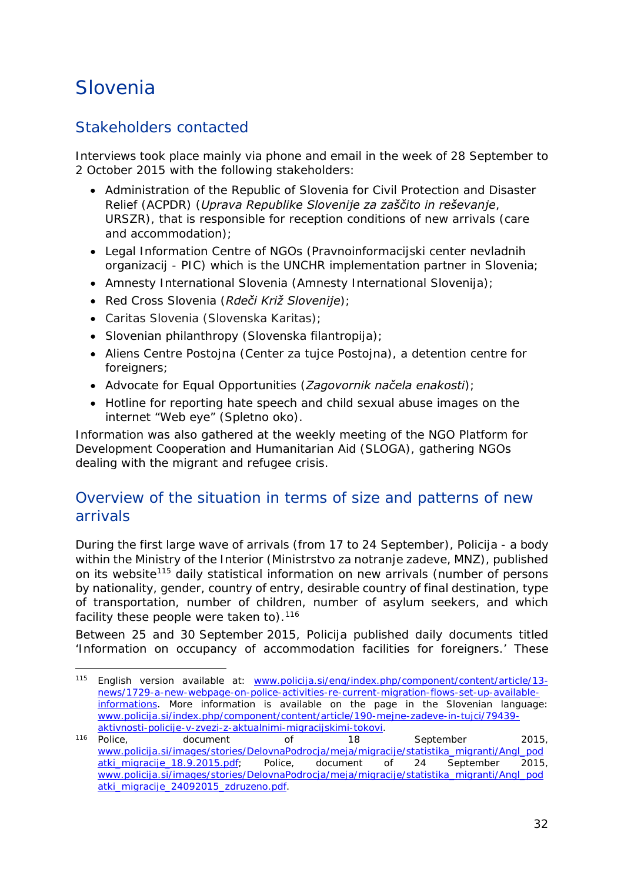## <span id="page-31-0"></span>Slovenia

### Stakeholders contacted

Interviews took place mainly via phone and email in the week of 28 September to 2 October 2015 with the following stakeholders:

- Administration of the Republic of Slovenia for Civil Protection and Disaster Relief (ACPDR) (*Uprava Republike Slovenije za zaščito in reševanje*, *URSZR*), that is responsible for reception conditions of new arrivals (care and accommodation);
- Legal Information Centre of NGOs (*Pravnoinformacijski center nevladnih organizacij - PIC)* which is the UNCHR implementation partner in Slovenia;
- Amnesty International Slovenia (*Amnesty International Slovenija*);
- Red Cross Slovenia (*Rdeči Križ Slovenije*);
- Caritas Slovenia (*Slovenska Karitas*);
- Slovenian philanthropy (*Slovenska filantropija*);
- Aliens Centre Postojna (*Center za tujce Postojna*), a detention centre for foreigners;
- Advocate for Equal Opportunities (*Zagovornik načela enakosti*);
- Hotline for reporting hate speech and child sexual abuse images on the internet "Web eye" (*Spletno oko*).

Information was also gathered at the weekly meeting of the NGO Platform for Development Cooperation and Humanitarian Aid (SLOGA), gathering NGOs dealing with the migrant and refugee crisis.

#### Overview of the situation in terms of size and patterns of new arrivals

During the first large wave of arrivals (from 17 to 24 September), *Policija* - a body within the Ministry of the Interior (*Ministrstvo za notranje zadeve*, *MNZ*), published on its website[115](#page-31-1) daily statistical information on new arrivals (number of persons by nationality, gender, country of entry, desirable country of final destination, type of transportation, number of children, number of asylum seekers, and which facility these people were taken to).  $116$ 

Between 25 and 30 September 2015, Policija published daily documents titled 'Information on occupancy of accommodation facilities for foreigners.' These

<span id="page-31-1"></span><sup>115</sup> English version available at: [www.policija.si/eng/index.php/component/content/article/13](http://www.policija.si/eng/index.php/component/content/article/13-news/1729-a-new-webpage-on-police-activities-re-current-migration-flows-set-up-available-informations) [news/1729-a-new-webpage-on-police-activities-re-current-migration-flows-set-up-available](http://www.policija.si/eng/index.php/component/content/article/13-news/1729-a-new-webpage-on-police-activities-re-current-migration-flows-set-up-available-informations)[informations.](http://www.policija.si/eng/index.php/component/content/article/13-news/1729-a-new-webpage-on-police-activities-re-current-migration-flows-set-up-available-informations) More information is available on the page in the Slovenian language: [www.policija.si/index.php/component/content/article/190-mejne-zadeve-in-tujci/79439](http://www.policija.si/index.php/component/content/article/190-mejne-zadeve-in-tujci/79439-aktivnosti-policije-v-zvezi-z-aktualnimi-migracijskimi-tokovi) [aktivnosti-policije-v-zvezi-z-aktualnimi-migracijskimi-tokovi.](http://www.policija.si/index.php/component/content/article/190-mejne-zadeve-in-tujci/79439-aktivnosti-policije-v-zvezi-z-aktualnimi-migracijskimi-tokovi) j,

<span id="page-31-2"></span><sup>116</sup> Police, document of 18 September 2015, [www.policija.si/images/stories/DelovnaPodrocja/meja/migracije/statistika\\_migranti/Angl\\_pod](http://www.policija.si/images/stories/DelovnaPodrocja/meja/migracije/statistika_migranti/Angl_podatki_migracije_18.9.2015.pdf) [atki\\_migracije\\_18.9.2015.pdf;](http://www.policija.si/images/stories/DelovnaPodrocja/meja/migracije/statistika_migranti/Angl_podatki_migracije_18.9.2015.pdf) Police, document of 24 September 2015, [www.policija.si/images/stories/DelovnaPodrocja/meja/migracije/statistika\\_migranti/Angl\\_pod](http://www.policija.si/images/stories/DelovnaPodrocja/meja/migracije/statistika_migranti/Angl_podatki_migracije_24092015_zdruzeno.pdf) [atki\\_migracije\\_24092015\\_zdruzeno.pdf.](http://www.policija.si/images/stories/DelovnaPodrocja/meja/migracije/statistika_migranti/Angl_podatki_migracije_24092015_zdruzeno.pdf)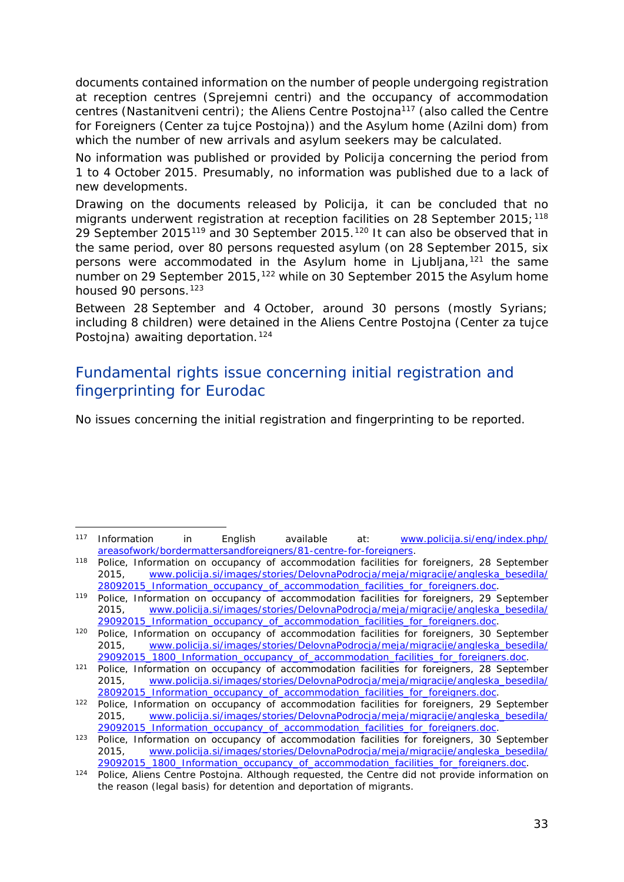<span id="page-32-2"></span>documents contained information on the number of people undergoing registration at reception centres (*Sprejemni centri*) and the occupancy of accommodation centres (*Nastanitveni centri*); the Aliens Centre Postojna[117](#page-32-0) (also called the Centre for Foreigners (*Center za tujce Postojna*)) and the Asylum home (*Azilni dom*) from which the number of new arrivals and asylum seekers may be calculated.

No information was published or provided by Policija concerning the period from 1 to 4 October 2015. Presumably, no information was published due to a lack of new developments.

Drawing on the documents released by Policija, it can be concluded that no migrants underwent registration at reception facilities on 28 September 2015;  $118$ 29 September 2015[119](#page-32-2) and 30 September 2015.[120](#page-32-2) It can also be observed that in the same period, over 80 persons requested asylum (on 28 September 2015, six persons were accommodated in the Asylum home in Ljubljana,<sup>[121](#page-32-2)</sup> the same number on 29 September 2015,<sup>[122](#page-32-2)</sup> while on 30 September 2015 the Asylum home housed 90 persons.<sup>123</sup>

Between 28 September and 4 October, around 30 persons (mostly Syrians; including 8 children) were detained in the Aliens Centre Postojna (*Center za tujce Postojna*) awaiting deportation.<sup>[124](#page-32-3)</sup>

#### Fundamental rights issue concerning initial registration and fingerprinting for Eurodac

No issues concerning the initial registration and fingerprinting to be reported.

<span id="page-32-0"></span><sup>117</sup> Information in English available at: [www.policija.si/eng/index.php/](http://www.policija.si/eng/index.php/areasofwork/bordermattersandforeigners/81-centre-for-foreigners) [areasofwork/bordermattersandforeigners/81-centre-for-foreigners.](http://www.policija.si/eng/index.php/areasofwork/bordermattersandforeigners/81-centre-for-foreigners) 118 Police, *Information on occupancy of accommodation facilities for foreigners*, 28 September -

<span id="page-32-1"></span><sup>2015,</sup> [www.policija.si/images/stories/DelovnaPodrocja/meja/migracije/angleska\\_besedila/](http://www.policija.si/images/stories/DelovnaPodrocja/meja/migracije/angleska_besedila/28092015_Information_occupancy_of_accommodation_facilities_for_foreigners.doc)

[<sup>28092015</sup>\\_Information\\_occupancy\\_of\\_accommodation\\_facilities\\_for\\_foreigners.doc.](http://www.policija.si/images/stories/DelovnaPodrocja/meja/migracije/angleska_besedila/28092015_Information_occupancy_of_accommodation_facilities_for_foreigners.doc) 119 Police, *Information on occupancy of accommodation facilities for foreigners*, 29 September 2015, [www.policija.si/images/stories/DelovnaPodrocja/meja/migracije/angleska\\_besedila/](http://www.policija.si/images/stories/DelovnaPodrocja/meja/migracije/angleska_besedila/29092015_Information_occupancy_of_accommodation_facilities_for_foreigners.doc) [29092015\\_Information\\_occupancy\\_of\\_accommodation\\_facilities\\_for\\_foreigners.doc.](http://www.policija.si/images/stories/DelovnaPodrocja/meja/migracije/angleska_besedila/29092015_Information_occupancy_of_accommodation_facilities_for_foreigners.doc)

<sup>120</sup> Police, *Information on occupancy of accommodation facilities for foreigners*, 30 September 2015, [www.policija.si/images/stories/DelovnaPodrocja/meja/migracije/angleska\\_besedila/](http://www.policija.si/images/stories/DelovnaPodrocja/meja/migracije/angleska_besedila/29092015_1800_Information_occupancy_of_accommodation_facilities_for_foreigners.doc)

[<sup>29092015</sup>\\_1800\\_Information\\_occupancy\\_of\\_accommodation\\_facilities\\_for\\_foreigners.doc.](http://www.policija.si/images/stories/DelovnaPodrocja/meja/migracije/angleska_besedila/29092015_1800_Information_occupancy_of_accommodation_facilities_for_foreigners.doc) 121 Police, *Information on occupancy of accommodation facilities for foreigners*, 28 September 2015, [www.policija.si/images/stories/DelovnaPodrocja/meja/migracije/angleska\\_besedila/](http://www.policija.si/images/stories/DelovnaPodrocja/meja/migracije/angleska_besedila/28092015_Information_occupancy_of_accommodation_facilities_for_foreigners.doc)

[<sup>28092015</sup>\\_Information\\_occupancy\\_of\\_accommodation\\_facilities\\_for\\_foreigners.doc.](http://www.policija.si/images/stories/DelovnaPodrocja/meja/migracije/angleska_besedila/28092015_Information_occupancy_of_accommodation_facilities_for_foreigners.doc) 122 Police, *Information on occupancy of accommodation facilities for foreigners*, 29 September 2015, [www.policija.si/images/stories/DelovnaPodrocja/meja/migracije/angleska\\_besedila/](http://www.policija.si/images/stories/DelovnaPodrocja/meja/migracije/angleska_besedila/29092015_Information_occupancy_of_accommodation_facilities_for_foreigners.doc) [29092015\\_Information\\_occupancy\\_of\\_accommodation\\_facilities\\_for\\_foreigners.doc.](http://www.policija.si/images/stories/DelovnaPodrocja/meja/migracije/angleska_besedila/29092015_Information_occupancy_of_accommodation_facilities_for_foreigners.doc)

<sup>123</sup> Police, *Information on occupancy of accommodation facilities for foreigners*, 30 September 2015, [www.policija.si/images/stories/DelovnaPodrocja/meja/migracije/angleska\\_besedila/](http://www.policija.si/images/stories/DelovnaPodrocja/meja/migracije/angleska_besedila/29092015_1800_Information_occupancy_of_accommodation_facilities_for_foreigners.doc)<br>29092015\_1800\_Information\_occupancy\_of\_accommodation\_facilities\_for\_foreigners.doc.

<span id="page-32-3"></span><sup>&</sup>lt;sup>124</sup> Police, Aliens Centre Postojna. Although requested, the Centre did not provide information on the reason (legal basis) for detention and deportation of migrants.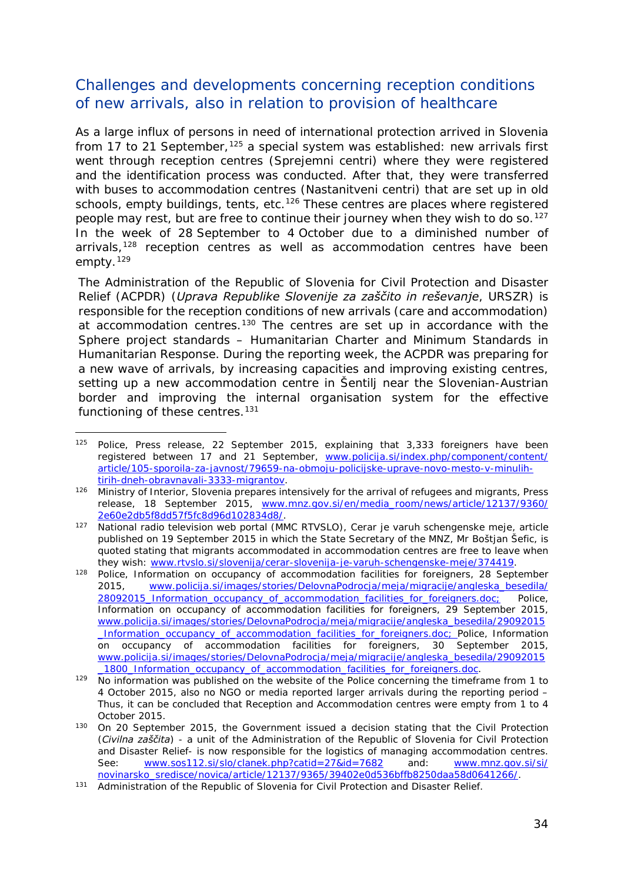#### <span id="page-33-1"></span>Challenges and developments concerning reception conditions of new arrivals, also in relation to provision of healthcare

As a large influx of persons in need of international protection arrived in Slovenia from 17 to 21 September,<sup>[125](#page-33-0)</sup> a special system was established: new arrivals first went through reception centres (*Sprejemni centri*) where they were registered and the identification process was conducted. After that, they were transferred with buses to accommodation centres (*Nastanitveni centri*) that are set up in old schools, empty buildings, tents, etc.<sup>[126](#page-33-1)</sup> These centres are places where registered people may rest, but are free to continue their journey when they wish to do so.<sup>[127](#page-33-1)</sup> In the week of 28 September to 4 October due to a diminished number of arrivals,<sup>[128](#page-33-1)</sup> reception centres as well as accommodation centres have been empty.[129](#page-33-1)

The Administration of the Republic of Slovenia for Civil Protection and Disaster Relief (*ACPDR*) (*Uprava Republike Slovenije za zaščito in reševanje*, *URSZR*) is responsible for the reception conditions of new arrivals (care and accommodation) at accommodation centres.<sup>[130](#page-33-2)</sup> The centres are set up in accordance with the Sphere project standards – Humanitarian Charter and Minimum Standards in Humanitarian Response. During the reporting week, the ACPDR was preparing for a new wave of arrivals, by increasing capacities and improving existing centres, setting up a new accommodation centre in Šentilj near the Slovenian-Austrian border and improving the internal organisation system for the effective functioning of these centres.<sup>[131](#page-33-1)</sup>

<span id="page-33-0"></span><sup>&</sup>lt;sup>125</sup> Police, Press release, 22 September 2015, explaining that 3,333 foreigners have been registered between 17 and 21 September, [www.policija.si/index.php/component/content/](http://www.policija.si/index.php/component/content/article/105-sporoila-za-javnost/79659-na-obmoju-policijske-uprave-novo-mesto-v-minulih-tirih-dneh-obravnavali-3333-migrantov) [article/105-sporoila-za-javnost/79659-na-obmoju-policijske-uprave-novo-mesto-v-minulih-](http://www.policija.si/index.php/component/content/article/105-sporoila-za-javnost/79659-na-obmoju-policijske-uprave-novo-mesto-v-minulih-tirih-dneh-obravnavali-3333-migrantov)-

<sup>&</sup>lt;sup>126</sup> Ministry of Interior, *Slovenia prepares intensively for the arrival of refugees and migrants*, Press release, 18 September 2015, [www.mnz.gov.si/en/media\\_room/news/article/12137/9360/](http://www.mnz.gov.si/en/media_room/news/article/12137/9360/2e60e2db5f8dd57f5fc8d96d102834d8/)<br>2e60e2db5f8dd57f5fc8d96d102834d8/.

<sup>127</sup> National radio television web portal (*MMC RTVSLO*), *Cerar je varuh schengenske meje*, article published on 19 September 2015 in which the State Secretary of the *MNZ*, Mr Boštjan Šefic, is quoted stating that migrants accommodated in accommodation centres are free to leave when they wish: [www.rtvslo.si/slovenija/cerar-slovenija-je-varuh-schengenske-meje/374419.](http://www.rtvslo.si/slovenija/cerar-slovenija-je-varuh-schengenske-meje/374419)

<sup>128</sup> Police, *Information on occupancy of accommodation facilities for foreigners*, 28 September 2015, [www.policija.si/images/stories/DelovnaPodrocja/meja/migracije/angleska\\_besedila/](http://www.policija.si/images/stories/DelovnaPodrocja/meja/migracije/angleska_besedila/28092015_Information_occupancy_of_accommodation_facilities_for_foreigners.doc) [28092015\\_Information\\_occupancy\\_of\\_accommodation\\_facilities\\_for\\_foreigners.doc;](http://www.policija.si/images/stories/DelovnaPodrocja/meja/migracije/angleska_besedila/28092015_Information_occupancy_of_accommodation_facilities_for_foreigners.doc) Police, *Information on occupancy of accommodation facilities for foreigners*, 29 September 2015, [www.policija.si/images/stories/DelovnaPodrocja/meja/migracije/angleska\\_besedila/29092015](http://www.policija.si/images/stories/DelovnaPodrocja/meja/migracije/angleska_besedila/29092015_Information_occupancy_of_accommodation_facilities_for_foreigners.doc) [\\_Information\\_occupancy\\_of\\_accommodation\\_facilities\\_for\\_foreigners.doc;](http://www.policija.si/images/stories/DelovnaPodrocja/meja/migracije/angleska_besedila/29092015_Information_occupancy_of_accommodation_facilities_for_foreigners.doc) Police, *Information on occupancy of accommodation facilities for foreigners*, 30 September 2015, [www.policija.si/images/stories/DelovnaPodrocja/meja/migracije/angleska\\_besedila/29092015](http://www.policija.si/images/stories/DelovnaPodrocja/meja/migracije/angleska_besedila/29092015_1800_Information_occupancy_of_accommodation_facilities_for_foreigners.doc)

<sup>1800</sup>\_Information\_occupancy\_of\_accommodation\_facilities\_for\_foreigners.doc.<br><sup>129</sup> No information was published on the website of the Police concerning the timeframe from 1 to 4 October 2015, also no NGO or media reported larger arrivals during the reporting period – Thus, it can be concluded that Reception and Accommodation centres were empty from 1 to 4 October 2015.

<span id="page-33-2"></span><sup>130</sup> On 20 September 2015, the Government issued a decision stating that the Civil Protection (*Civilna zaščita*) - a unit of the Administration of the Republic of Slovenia for Civil Protection and Disaster Relief- is now responsible for the logistics of managing accommodation centres. See: [www.sos112.si/slo/clanek.php?catid=27&id=7682](http://www.sos112.si/slo/clanek.php?catid=27&id=7682) and: [www.mnz.gov.si/si/](http://www.mnz.gov.si/si/novinarsko_sredisce/novica/article/12137/9365/39402e0d536bffb8250daa58d0641266/)<br>novinarsko sredisce/novica/article/12137/9365/39402e0d536bffb8250daa58d0641266/.

<sup>131</sup> Administration of the Republic of Slovenia for Civil Protection and Disaster Relief.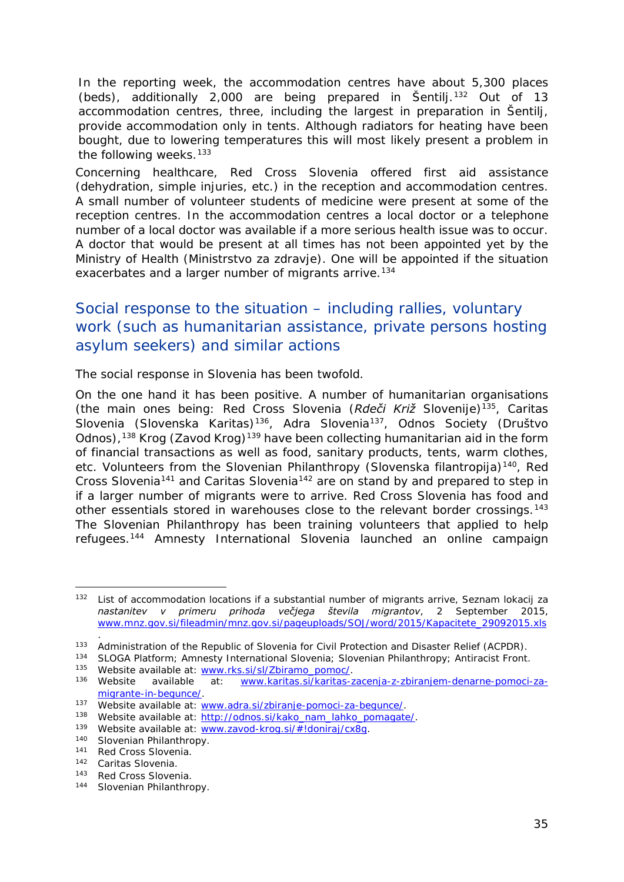<span id="page-34-1"></span>In the reporting week, the accommodation centres have about 5,300 places (beds), additionally 2,000 are being prepared in Šentilj.<sup>[132](#page-34-0)</sup> Out of 13 accommodation centres, three, including the largest in preparation in Šentilj, provide accommodation only in tents. Although radiators for heating have been bought, due to lowering temperatures this will most likely present a problem in the following weeks.<sup>[133](#page-34-1)</sup>

Concerning healthcare, Red Cross Slovenia offered first aid assistance (dehydration, simple injuries, etc.) in the reception and accommodation centres. A small number of volunteer students of medicine were present at some of the reception centres. In the accommodation centres a local doctor or a telephone number of a local doctor was available if a more serious health issue was to occur. A doctor that would be present at all times has not been appointed yet by the Ministry of Health (*Ministrstvo za zdravje*). One will be appointed if the situation exacerbates and a larger number of migrants arrive.<sup>[134](#page-34-2)</sup>

#### Social response to the situation – including rallies, voluntary work (such as humanitarian assistance, private persons hosting asylum seekers) and similar actions

The social response in Slovenia has been twofold.

On the one hand it has been positive. A number of humanitarian organisations (the main ones being: Red Cross Slovenia (*Rdeči Križ Slovenije*)[135](#page-34-3), Caritas Slovenia (*Slovenska Karitas*)[136,](#page-34-1) Adra Slovenia[137](#page-34-1), Odnos Society (*Društvo Odnos*),<sup>[138](#page-34-1)</sup> Krog (*Zavod Krog*)<sup>[139](#page-34-1)</sup> have been collecting humanitarian aid in the form of financial transactions as well as food, sanitary products, tents, warm clothes, etc. Volunteers from the Slovenian Philanthropy (*Slovenska filantropija*)[140](#page-34-1), Red Cross Slovenia<sup>[141](#page-34-1)</sup> and Caritas Slovenia<sup>[142](#page-34-1)</sup> are on stand by and prepared to step in if a larger number of migrants were to arrive. Red Cross Slovenia has food and other essentials stored in warehouses close to the relevant border crossings.<sup>[143](#page-34-1)</sup> The Slovenian Philanthropy has been training volunteers that applied to help refugees.[144](#page-34-1) Amnesty International Slovenia launched an online campaign

.

<span id="page-34-0"></span><sup>132</sup> List of accommodation locations if a substantial number of migrants arrive, *Seznam lokacij za nastanitev v primeru prihoda večjega števila migrantov*, 2 September 2015, [www.mnz.gov.si/fileadmin/mnz.gov.si/pageuploads/SOJ/word/2015/Kapacitete\\_29092015.xls](http://www.mnz.gov.si/fileadmin/mnz.gov.si/pageuploads/SOJ/word/2015/Kapacitete_29092015.xls) 132

<span id="page-34-2"></span><sup>133</sup> Administration of the Republic of Slovenia for Civil Protection and Disaster Relief (ACPDR).<br>134 SLOGA Platform; Amnesty International Slovenia; Slovenian Philanthropy; Antiracist Front.<br>135 Website available at: www.r

<span id="page-34-3"></span><sup>136</sup> Website available at: [www.karitas.si/karitas-zacenja-z-zbiranjem-denarne-pomoci-za-](http://www.karitas.si/karitas-zacenja-z-zbiranjem-denarne-pomoci-za-migrante-in-begunce/)

migrante-in-begunce/<br>
137 Website available at: www.adra.si/zbiranje-pomoci-za-begunce/<br>
138 Website available at: <u>http://odnos.si/kako\_nam\_lahko\_pomagate/</u><br>
<sup>139</sup> Website available at: <u>www.zavod-krog.si/#!doniraj/cx8g</u>.

<sup>141</sup> Red Cross Slovenia.

<sup>142</sup> Caritas Slovenia.

<sup>143</sup> Red Cross Slovenia.

<sup>144</sup> Slovenian Philanthropy.